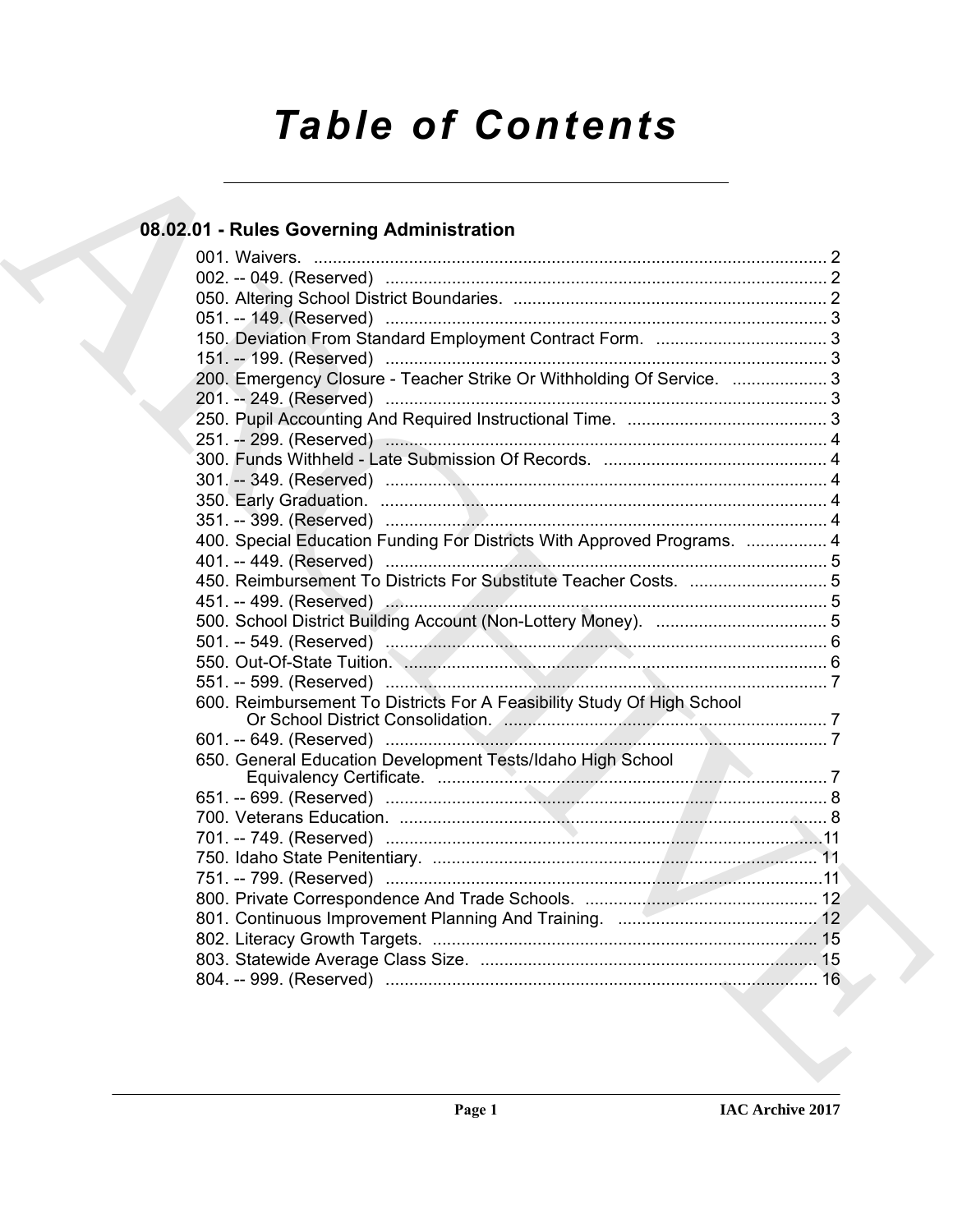# **Table of Contents**

### 08.02.01 - Rules Governing Administration

|  | 200. Emergency Closure - Teacher Strike Or Withholding Of Service.  3   |  |
|--|-------------------------------------------------------------------------|--|
|  |                                                                         |  |
|  |                                                                         |  |
|  |                                                                         |  |
|  |                                                                         |  |
|  |                                                                         |  |
|  |                                                                         |  |
|  |                                                                         |  |
|  | 400. Special Education Funding For Districts With Approved Programs.  4 |  |
|  |                                                                         |  |
|  |                                                                         |  |
|  |                                                                         |  |
|  |                                                                         |  |
|  |                                                                         |  |
|  |                                                                         |  |
|  |                                                                         |  |
|  | 600. Reimbursement To Districts For A Feasibility Study Of High School  |  |
|  |                                                                         |  |
|  |                                                                         |  |
|  |                                                                         |  |
|  |                                                                         |  |
|  |                                                                         |  |
|  |                                                                         |  |
|  |                                                                         |  |
|  |                                                                         |  |
|  |                                                                         |  |
|  |                                                                         |  |
|  |                                                                         |  |
|  |                                                                         |  |
|  |                                                                         |  |
|  |                                                                         |  |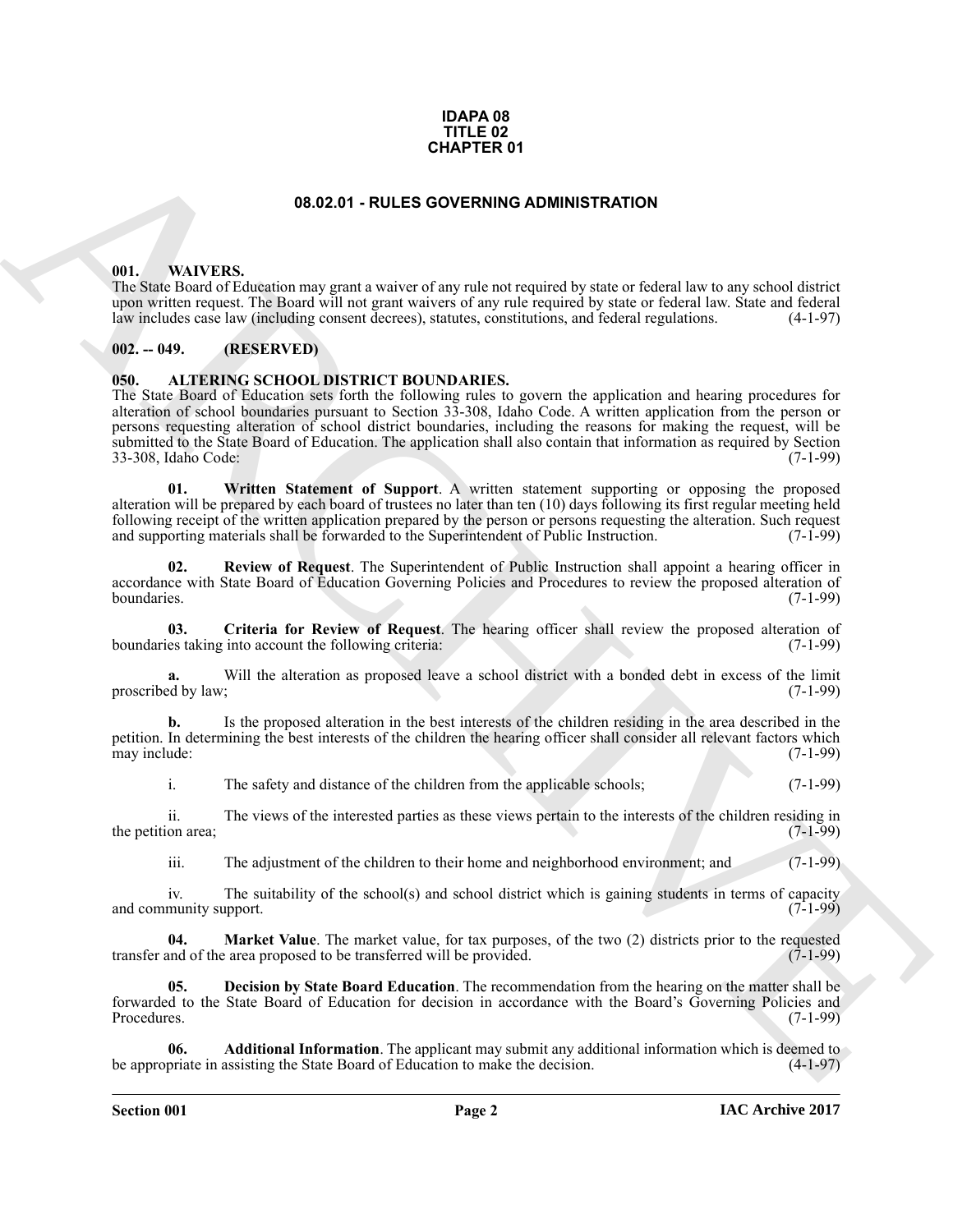#### **IDAPA 08 TITLE 02 CHAPTER 01**

#### **08.02.01 - RULES GOVERNING ADMINISTRATION**

#### <span id="page-1-1"></span><span id="page-1-0"></span>**001. WAIVERS.**

The State Board of Education may grant a waiver of any rule not required by state or federal law to any school district upon written request. The Board will not grant waivers of any rule required by state or federal law. State and federal law includes case law (including consent decrees), statutes, constitutions, and federal regulations. (4 law includes case law (including consent decrees), statutes, constitutions, and federal regulations.

#### <span id="page-1-2"></span>**002. -- 049. (RESERVED)**

#### <span id="page-1-4"></span><span id="page-1-3"></span>**050. ALTERING SCHOOL DISTRICT BOUNDARIES.**

**CHAPTER 01**<br> **CHAPTER 01**<br> **CHAPTER 01**<br> **CHAPTER 01**<br> **CHAPTER 01**<br> **CHAPTER 01**<br> **CHAPTER 01**<br> **CHAPTER 01**<br> **CHAPTER 02 CHAPTER 01**<br> **CHAPTER 02 CHAPTER 02 CHAPTER 02 CHAPTER CHAPTER 6**<br> **CHAPTER 02 CHAPTE** The State Board of Education sets forth the following rules to govern the application and hearing procedures for alteration of school boundaries pursuant to Section 33-308, Idaho Code. A written application from the person or persons requesting alteration of school district boundaries, including the reasons for making the request, will be submitted to the State Board of Education. The application shall also contain that information as required by Section 33-308, Idaho Code: (7-1-99)

<span id="page-1-10"></span>**01. Written Statement of Support**. A written statement supporting or opposing the proposed alteration will be prepared by each board of trustees no later than ten (10) days following its first regular meeting held following receipt of the written application prepared by the person or persons requesting the alteration. Such request and supporting materials shall be forwarded to the Superintendent of Public Instruction. (7-1-99) and supporting materials shall be forwarded to the Superintendent of Public Instruction.

<span id="page-1-9"></span>**02. Review of Request**. The Superintendent of Public Instruction shall appoint a hearing officer in accordance with State Board of Éducation Governing Policies and Procedures to review the proposed alteration of boundaries. (7-1-99) boundaries. (7-1-99)

<span id="page-1-6"></span>**03. Criteria for Review of Request**. The hearing officer shall review the proposed alteration of boundaries taking into account the following criteria: (7-1-99)

**a.** Will the alteration as proposed leave a school district with a bonded debt in excess of the limit ed by law; (7-1-99) proscribed by law;

**b.** Is the proposed alteration in the best interests of the children residing in the area described in the petition. In determining the best interests of the children the hearing officer shall consider all relevant factors which may include: (7-1-99) may include:

i. The safety and distance of the children from the applicable schools; (7-1-99)

ii. The views of the interested parties as these views pertain to the interests of the children residing in the petition area;

<span id="page-1-8"></span>iii. The adjustment of the children to their home and neighborhood environment; and (7-1-99)

iv. The suitability of the school(s) and school district which is gaining students in terms of capacity munity support. (7-1-99) and community support.

**04. Market Value**. The market value, for tax purposes, of the two (2) districts prior to the requested and of the area proposed to be transferred will be provided. (7-1-99) transfer and of the area proposed to be transferred will be provided.

<span id="page-1-7"></span>**05. Decision by State Board Education**. The recommendation from the hearing on the matter shall be forwarded to the State Board of Education for decision in accordance with the Board's Governing Policies and Procedures. (7-1-99)

<span id="page-1-5"></span>**Additional Information**. The applicant may submit any additional information which is deemed to assisting the State Board of Education to make the decision. (4-1-97) be appropriate in assisting the State Board of Education to make the decision.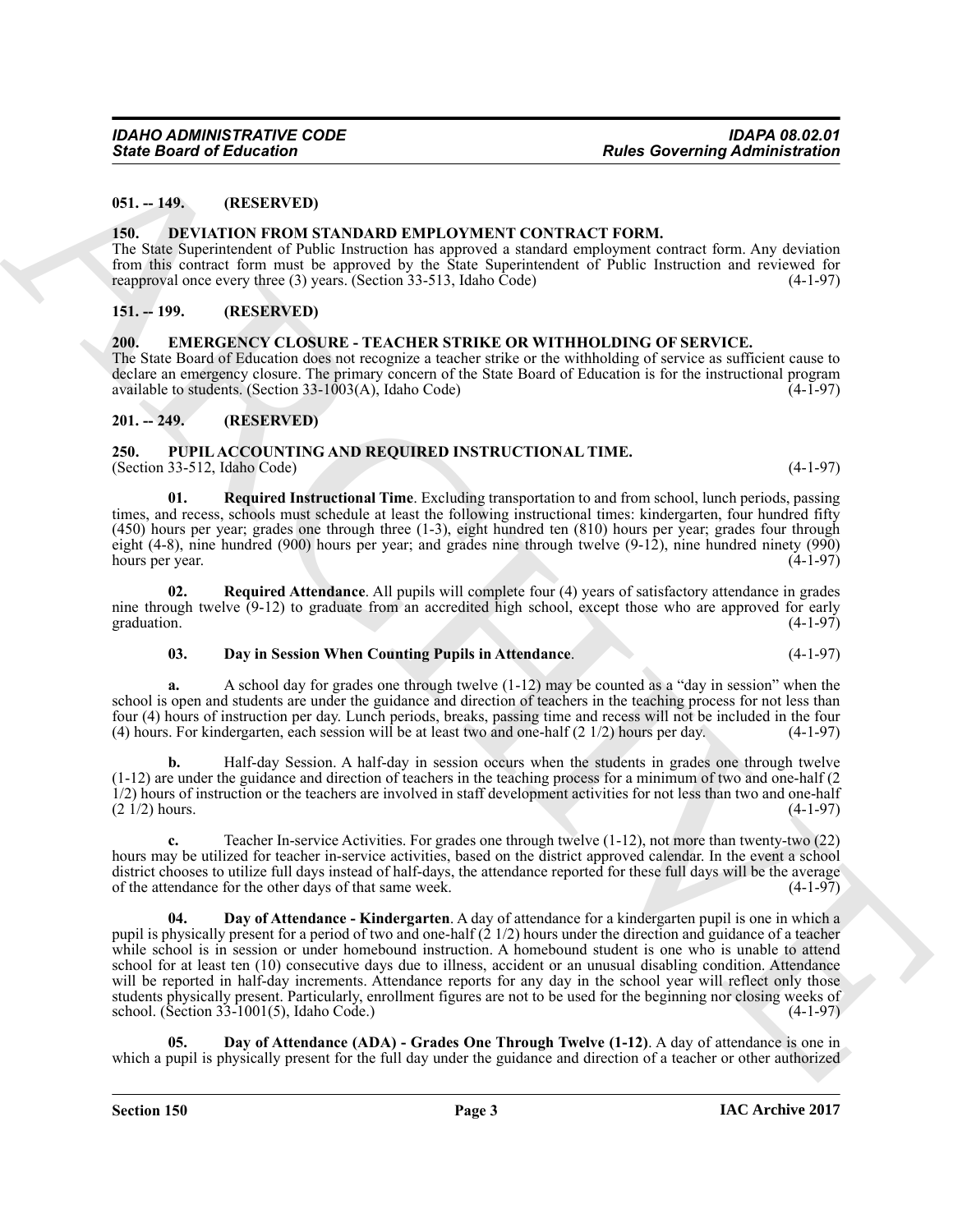#### <span id="page-2-0"></span>**051. -- 149. (RESERVED)**

#### <span id="page-2-6"></span><span id="page-2-1"></span>**150. DEVIATION FROM STANDARD EMPLOYMENT CONTRACT FORM.**

The State Superintendent of Public Instruction has approved a standard employment contract form. Any deviation from this contract form must be approved by the State Superintendent of Public Instruction and reviewed for reapproval once every three (3) years. (Section 33-513. Idaho Code) (4-1-97) reapproval once every three  $(3)$  years. (Section 33-513, Idaho Code)

#### <span id="page-2-2"></span>**151. -- 199. (RESERVED)**

#### <span id="page-2-7"></span><span id="page-2-3"></span>**200. EMERGENCY CLOSURE - TEACHER STRIKE OR WITHHOLDING OF SERVICE.**

The State Board of Education does not recognize a teacher strike or the withholding of service as sufficient cause to declare an emergency closure. The primary concern of the State Board of Education is for the instructional program available to students. (Section  $33-1003(A)$ , Idaho Code)

#### <span id="page-2-4"></span>**201. -- 249. (RESERVED)**

#### <span id="page-2-8"></span><span id="page-2-5"></span>**250. PUPIL ACCOUNTING AND REQUIRED INSTRUCTIONAL TIME.** (Section 33-512, Idaho Code) (4-1-97)

<span id="page-2-13"></span>**01. Required Instructional Time**. Excluding transportation to and from school, lunch periods, passing times, and recess, schools must schedule at least the following instructional times: kindergarten, four hundred fifty (450) hours per year; grades one through three (1-3), eight hundred ten (810) hours per year; grades four through eight (4-8), nine hundred (900) hours per year; and grades nine through twelve (9-12), nine hundred ninety (990) hours per year. (4-1-97)

**02. Required Attendance**. All pupils will complete four (4) years of satisfactory attendance in grades nine through twelve  $(9-12)$  to graduate from an accredited high school, except those who are approved for early graduation.  $(4-1-97)$ graduation.  $(4-1-97)$ 

#### <span id="page-2-12"></span><span id="page-2-9"></span>**03. Day in Session When Counting Pupils in Attendance**. (4-1-97)

**a.** A school day for grades one through twelve (1-12) may be counted as a "day in session" when the school is open and students are under the guidance and direction of teachers in the teaching process for not less than four (4) hours of instruction per day. Lunch periods, breaks, passing time and recess will not be included in the four (4) hours. For kindergarten, each session will be at least two and one-half  $(2\ 1/2)$  hours per day. (4) hours. For kindergarten, each session will be at least two and one-half  $(2 \frac{1}{2})$  hours per day.

**b.** Half-day Session. A half-day in session occurs when the students in grades one through twelve (1-12) are under the guidance and direction of teachers in the teaching process for a minimum of two and one-half (2  $1/2$ ) hours of instruction or the teachers are involved in staff development activities for not less than two and one-half  $(2\frac{1}{2})$  hours.  $(2 \frac{1}{2})$  hours.  $(4-1-97)$ 

<span id="page-2-11"></span>**c.** Teacher In-service Activities. For grades one through twelve (1-12), not more than twenty-two (22) hours may be utilized for teacher in-service activities, based on the district approved calendar. In the event a school district chooses to utilize full days instead of half-days, the attendance reported for these full days will be the average of the attendance for the other days of that same week. of the attendance for the other days of that same week.

Sinte Board of Education<br>
1914. 1920. The SEC INTERNATION EXPLOYMENT CONTRACT FORM.<br>
1936. 1936. The SEC INTERNATION EXPLOYMENT CONTRACT FORM.<br>
1936. 1936. The SEC INTERNATION EXPLORATION CONTRACT FORM.<br>
1936. The SEC INT **Day of Attendance - Kindergarten**. A day of attendance for a kindergarten pupil is one in which a pupil is physically present for a period of two and one-half  $(2\frac{1}{2})$  hours under the direction and guidance of a teacher while school is in session or under homebound instruction. A homebound student is one who is unable to attend school for at least ten (10) consecutive days due to illness, accident or an unusual disabling condition. Attendance will be reported in half-day increments. Attendance reports for any day in the school year will reflect only those students physically present. Particularly, enrollment figures are not to be used for the beginning nor closing weeks of school. (Section 33-1001(5), Idaho Code.) school. (Section  $33-1001(5)$ , Idaho Code.)

<span id="page-2-10"></span>**05. Day of Attendance (ADA) - Grades One Through Twelve (1-12)**. A day of attendance is one in which a pupil is physically present for the full day under the guidance and direction of a teacher or other authorized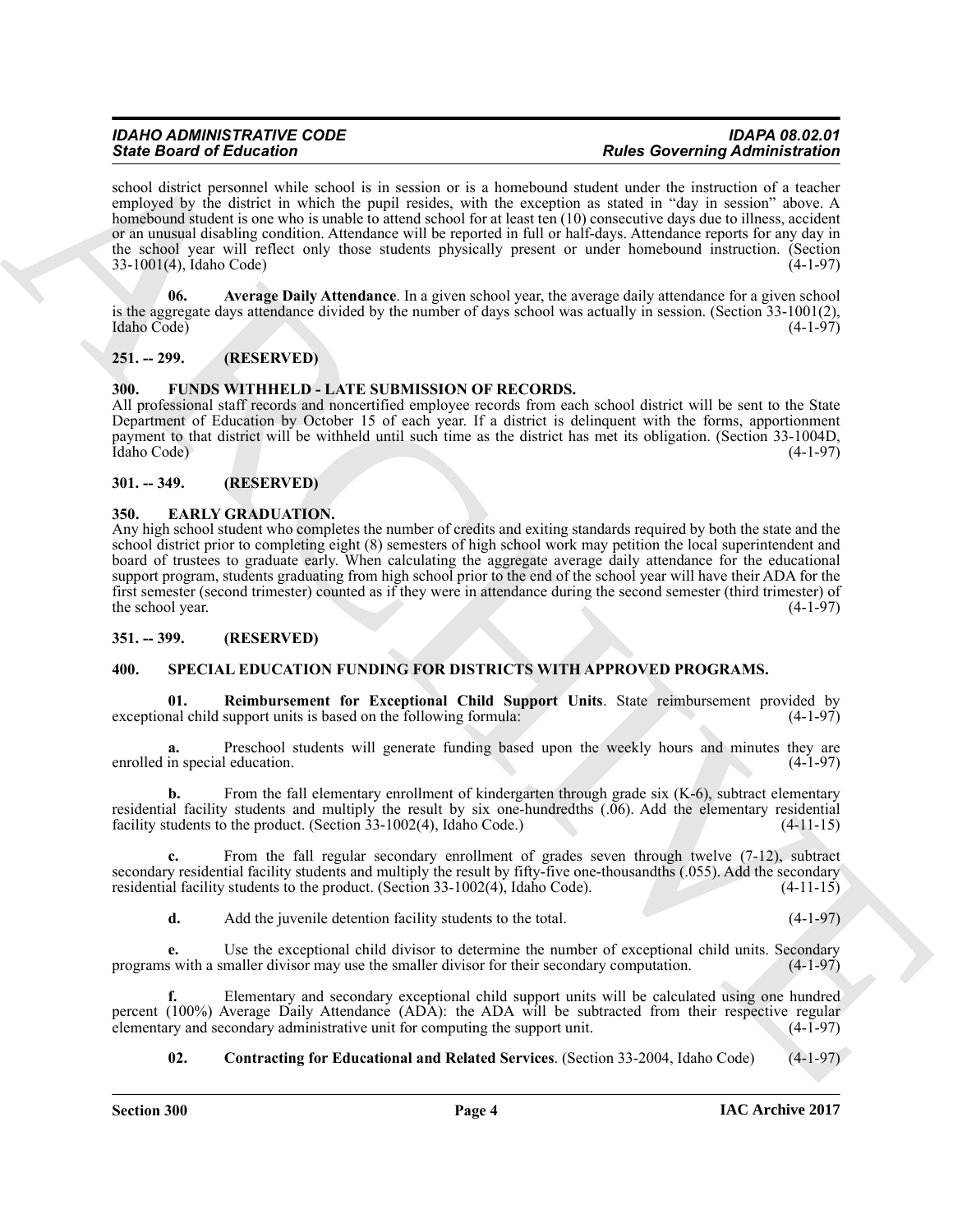school district personnel while school is in session or is a homebound student under the instruction of a teacher employed by the district in which the pupil resides, with the exception as stated in "day in session" above. A homebound student is one who is unable to attend school for at least ten (10) consecutive days due to illness, accident or an unusual disabling condition. Attendance will be reported in full or half-days. Attendance reports for any day in the school year will reflect only those students physically present or under homebound instruction. (Section 33-1001(4), Idaho Code) (4-1-97)  $33-1001(4)$ , Idaho Code)

<span id="page-3-8"></span>**06. Average Daily Attendance**. In a given school year, the average daily attendance for a given school is the aggregate days attendance divided by the number of days school was actually in session. (Section 33-1001(2), Idaho Code) (4-1-97)

#### <span id="page-3-0"></span>**251. -- 299. (RESERVED)**

#### <span id="page-3-7"></span><span id="page-3-1"></span>**300. FUNDS WITHHELD - LATE SUBMISSION OF RECORDS.**

All professional staff records and noncertified employee records from each school district will be sent to the State Department of Education by October 15 of each year. If a district is delinquent with the forms, apportionment payment to that district will be withheld until such time as the district has met its obligation. (Section 33-1004D, Idaho Code) (4-1-97)

#### <span id="page-3-2"></span>**301. -- 349. (RESERVED)**

#### <span id="page-3-6"></span><span id="page-3-3"></span>**350. EARLY GRADUATION.**

Since Book of Editorial Control is a system of its hardwood states Governing diministration<br>
and density protection in a system of the interest of the control interest of the control interest of the control interest of th Any high school student who completes the number of credits and exiting standards required by both the state and the school district prior to completing eight (8) semesters of high school work may petition the local superintendent and board of trustees to graduate early. When calculating the aggregate average daily attendance for the educational support program, students graduating from high school prior to the end of the school year will have their ADA for the first semester (second trimester) counted as if they were in attendance during the second semester (third trimester) of the school year.

#### <span id="page-3-4"></span>**351. -- 399. (RESERVED)**

#### <span id="page-3-9"></span><span id="page-3-5"></span>**400. SPECIAL EDUCATION FUNDING FOR DISTRICTS WITH APPROVED PROGRAMS.**

<span id="page-3-11"></span>**01. Reimbursement for Exceptional Child Support Units**. State reimbursement provided by exceptional child support units is based on the following formula:

Preschool students will generate funding based upon the weekly hours and minutes they are leducation. (4-1-97) enrolled in special education.

**b.** From the fall elementary enrollment of kindergarten through grade six (K-6), subtract elementary residential facility students and multiply the result by six one-hundredths  $(.06)$ . Add the elementary residential facility students to the product. (Section 33-1002(4), Idaho Code.) (4-11-15) facility students to the product. (Section  $33-1002(4)$ , Idaho Code.)

**c.** From the fall regular secondary enrollment of grades seven through twelve (7-12), subtract secondary residential facility students and multiply the result by fifty-five one-thousandths (.055). Add the secondary residential facility students to the product. (Section 33-1002(4), Idaho Code). (4-11-15) residential facility students to the product. (Section  $33-1002(4)$ , Idaho Code).

**d.** Add the juvenile detention facility students to the total. (4-1-97)

**e.** Use the exceptional child divisor to determine the number of exceptional child units. Secondary s with a smaller divisor may use the smaller divisor for their secondary computation. (4-1-97) programs with a smaller divisor may use the smaller divisor for their secondary computation.

**f.** Elementary and secondary exceptional child support units will be calculated using one hundred percent (100%) Average Daily Attendance (ADA): the ADA will be subtracted from their respective regular elementary and secondary administrative unit for computing the support unit. (4-1-97) elementary and secondary administrative unit for computing the support unit.

<span id="page-3-10"></span>**02. Contracting for Educational and Related Services**. (Section 33-2004, Idaho Code) (4-1-97)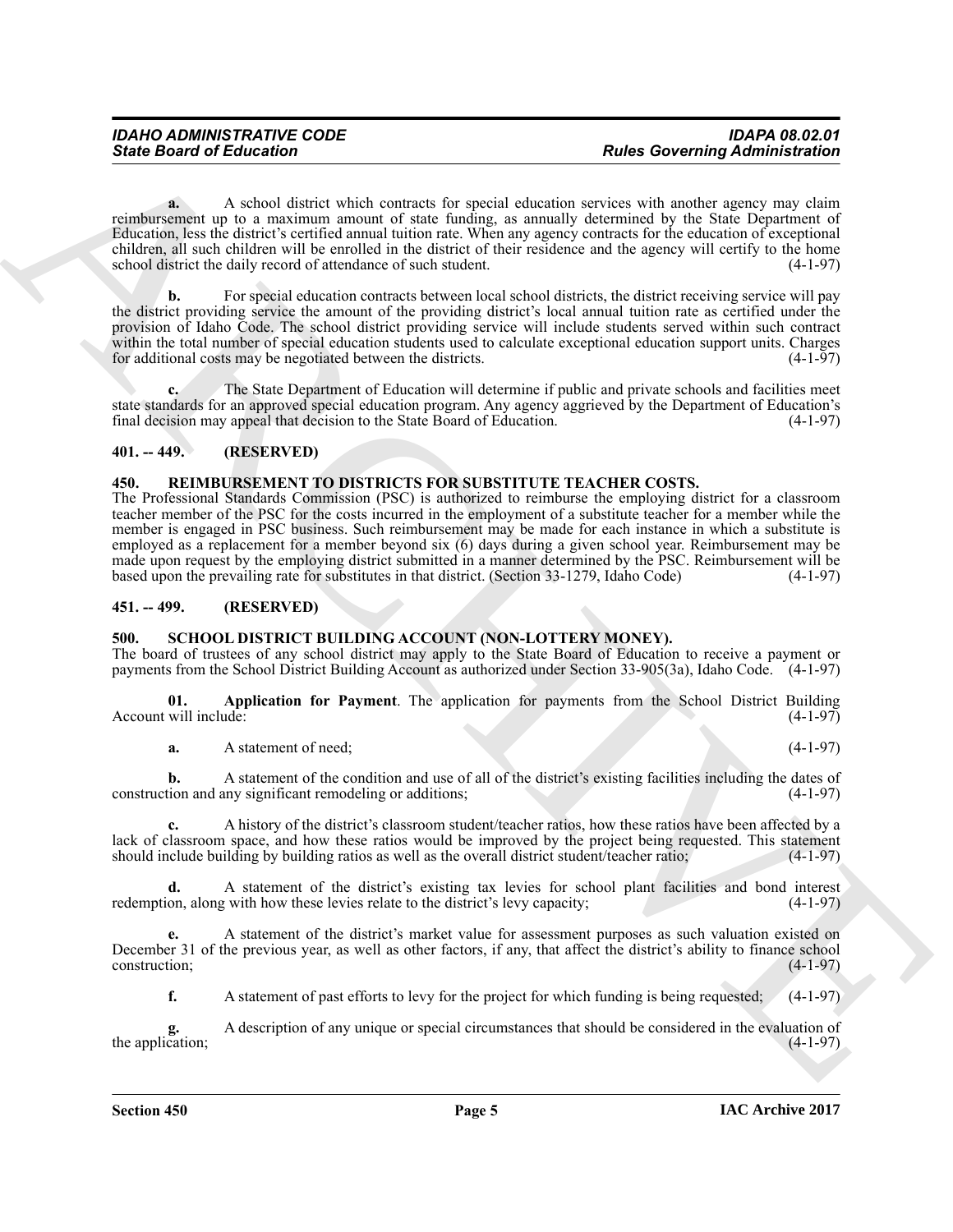**a.** A school district which contracts for special education services with another agency may claim reimbursement up to a maximum amount of state funding, as annually determined by the State Department of Education, less the district's certified annual tuition rate. When any agency contracts for the education of exceptional children, all such children will be enrolled in the district of their residence and the agency will certify to the home school district the daily record of attendance of such student. (4-1-97)

**b.** For special education contracts between local school districts, the district receiving service will pay the district providing service the amount of the providing district's local annual tuition rate as certified under the provision of Idaho Code. The school district providing service will include students served within such contract within the total number of special education students used to calculate exceptional education support units. Charges for additional costs may be negotiated between the districts. (4-1-97) for additional costs may be negotiated between the districts.

**c.** The State Department of Education will determine if public and private schools and facilities meet state standards for an approved special education program. Any agency aggrieved by the Department of Education's final decision may appeal that decision to the State Board of Education. (4-1-97) final decision may appeal that decision to the State Board of Education.

#### <span id="page-4-0"></span>**401. -- 449. (RESERVED)**

#### <span id="page-4-4"></span><span id="page-4-1"></span>**450. REIMBURSEMENT TO DISTRICTS FOR SUBSTITUTE TEACHER COSTS.**

**Since Board of Entremotion**<br>
A **Research Constrained** in specific definition of the specific definition of the specific definition of the specific definition of the specific definition of the specific definition of the s The Professional Standards Commission (PSC) is authorized to reimburse the employing district for a classroom teacher member of the PSC for the costs incurred in the employment of a substitute teacher for a member while the member is engaged in PSC business. Such reimbursement may be made for each instance in which a substitute is employed as a replacement for a member beyond six (6) days during a given school year. Reimbursement may be made upon request by the employing district submitted in a manner determined by the PSC. Reimbursement will be<br>based upon the prevailing rate for substitutes in that district. (Section 33-1279. Idaho Code) (4-1-97) based upon the prevailing rate for substitutes in that district. (Section 33-1279, Idaho Code)

#### <span id="page-4-2"></span>**451. -- 499. (RESERVED)**

#### <span id="page-4-5"></span><span id="page-4-3"></span>**500. SCHOOL DISTRICT BUILDING ACCOUNT (NON-LOTTERY MONEY).**

The board of trustees of any school district may apply to the State Board of Education to receive a payment or payments from the School District Building Account as authorized under Section 33-905(3a), Idaho Code. (4-1-97)

**01. Application for Payment**. The application for payments from the School District Building Account will include:

<span id="page-4-6"></span>**a.** A statement of need: (4-1-97)

**b.** A statement of the condition and use of all of the district's existing facilities including the dates of ion and any significant remodeling or additions: (4-1-97) construction and any significant remodeling or additions;

**c.** A history of the district's classroom student/teacher ratios, how these ratios have been affected by a lack of classroom space, and how these ratios would be improved by the project being requested. This statement should include building by building ratios as well as the overall district student/teacher ratio; (4-1-97) should include building by building ratios as well as the overall district student/teacher ratio;

**d.** A statement of the district's existing tax levies for school plant facilities and bond interest on along with how these levies relate to the district's levy capacity:  $(4-1-97)$ redemption, along with how these levies relate to the district's levy capacity;

**e.** A statement of the district's market value for assessment purposes as such valuation existed on December 31 of the previous year, as well as other factors, if any, that affect the district's ability to finance school construction; (4-1-97)

**f.** A statement of past efforts to levy for the project for which funding is being requested; (4-1-97)

**g.** A description of any unique or special circumstances that should be considered in the evaluation of the application;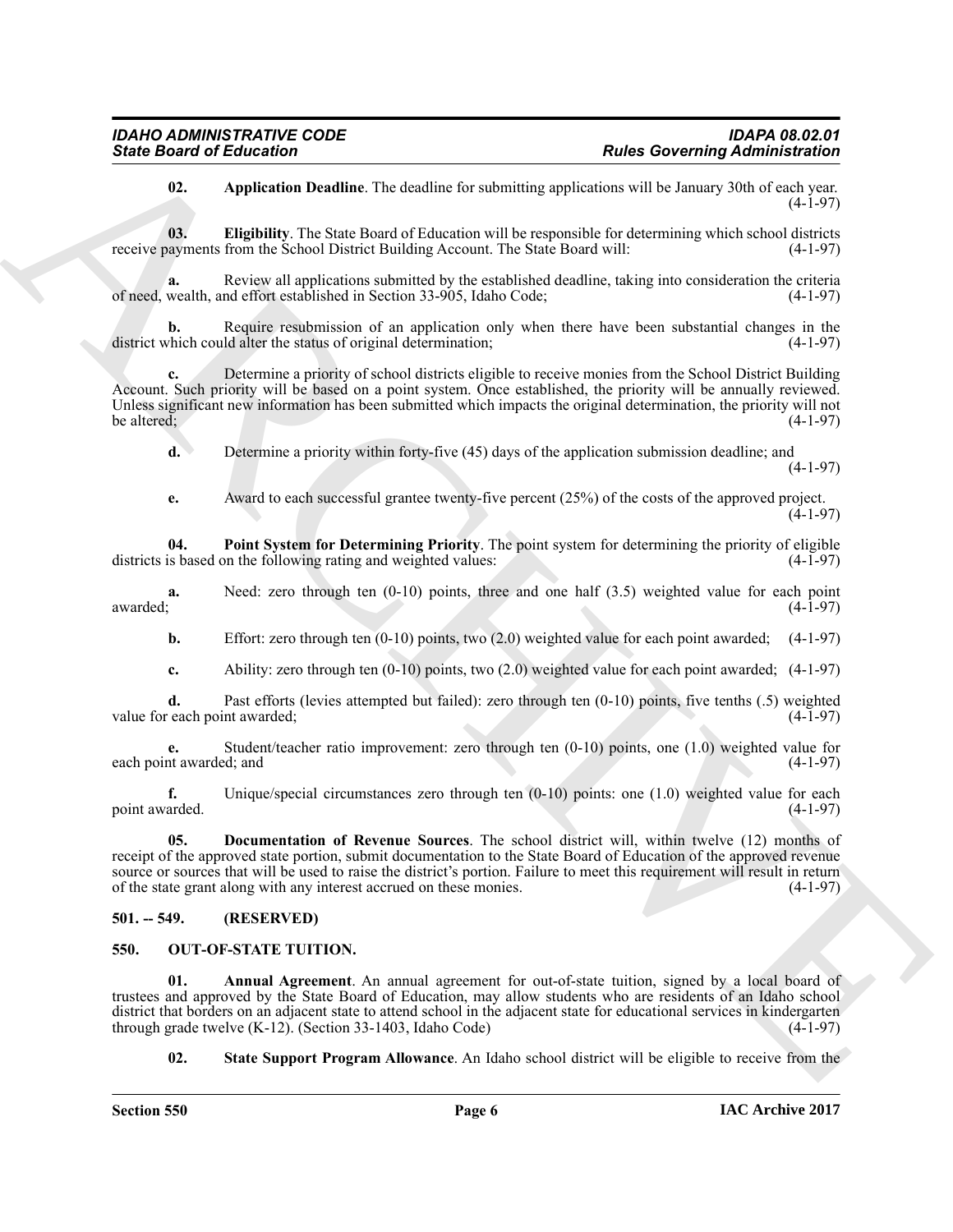<span id="page-5-7"></span><span id="page-5-5"></span>**02. Application Deadline**. The deadline for submitting applications will be January 30th of each year.  $(4-1-97)$ 

**03. Eligibility**. The State Board of Education will be responsible for determining which school districts receive payments from the School District Building Account. The State Board will: (4-1-97)

**a.** Review all applications submitted by the established deadline, taking into consideration the criteria of need, wealth, and effort established in Section 33-905, Idaho Code; (4-1-97)

**b.** Require resubmission of an application only when there have been substantial changes in the chich could alter the status of original determination; (4-1-97) district which could alter the status of original determination;

Sinte Board of Enterston Taxas <br>
When the other hand the Constant car detailed, a polestical associates and the board of March 2008<br>
When the constant and the constant of the constant of the constant of the constant of th **c.** Determine a priority of school districts eligible to receive monies from the School District Building Account. Such priority will be based on a point system. Once established, the priority will be annually reviewed. Unless significant new information has been submitted which impacts the original determination, the priority will not be altered; (4-1-97) be altered;  $(4-1-97)$ 

**d.** Determine a priority within forty-five (45) days of the application submission deadline; and (4-1-97)

<span id="page-5-8"></span>**e.** Award to each successful grantee twenty-five percent (25%) of the costs of the approved project.  $(4-1-97)$ 

**04. Point System for Determining Priority**. The point system for determining the priority of eligible districts is based on the following rating and weighted values: (4-1-97)

**a.** Need: zero through ten (0-10) points, three and one half (3.5) weighted value for each point awarded; awarded; (4-1-97)

**b.** Effort: zero through ten (0-10) points, two (2.0) weighted value for each point awarded; (4-1-97)

**c.** Ability: zero through ten (0-10) points, two (2.0) weighted value for each point awarded; (4-1-97)

**d.** Past efforts (levies attempted but failed): zero through ten (0-10) points, five tenths (.5) weighted each point awarded: (4-1-97) value for each point awarded;

**e.** Student/teacher ratio improvement: zero through ten (0-10) points, one (1.0) weighted value for the awarded; and (4-1-97) each point awarded; and

**f.** Unique/special circumstances zero through ten (0-10) points: one (1.0) weighted value for each arded. (4-1-97) point awarded.

<span id="page-5-6"></span>**05. Documentation of Revenue Sources**. The school district will, within twelve (12) months of receipt of the approved state portion, submit documentation to the State Board of Education of the approved revenue source or sources that will be used to raise the district's portion. Failure to meet this requirement will result in return of the state grant along with any interest accrued on these monies. (4-1-97) of the state grant along with any interest accrued on these monies.

#### <span id="page-5-0"></span>**501. -- 549. (RESERVED)**

#### <span id="page-5-2"></span><span id="page-5-1"></span>**550. OUT-OF-STATE TUITION.**

Annual Agreement. An annual agreement for out-of-state tuition, signed by a local board of trustees and approved by the State Board of Education, may allow students who are residents of an Idaho school district that borders on an adjacent state to attend school in the adjacent state for educational services in kindergarten<br>through grade twelve (K-12). (Section 33-1403, Idaho Code) (4-1-97) through grade twelve  $(K-12)$ . (Section 33-1403, Idaho Code)

<span id="page-5-4"></span><span id="page-5-3"></span>**02. State Support Program Allowance**. An Idaho school district will be eligible to receive from the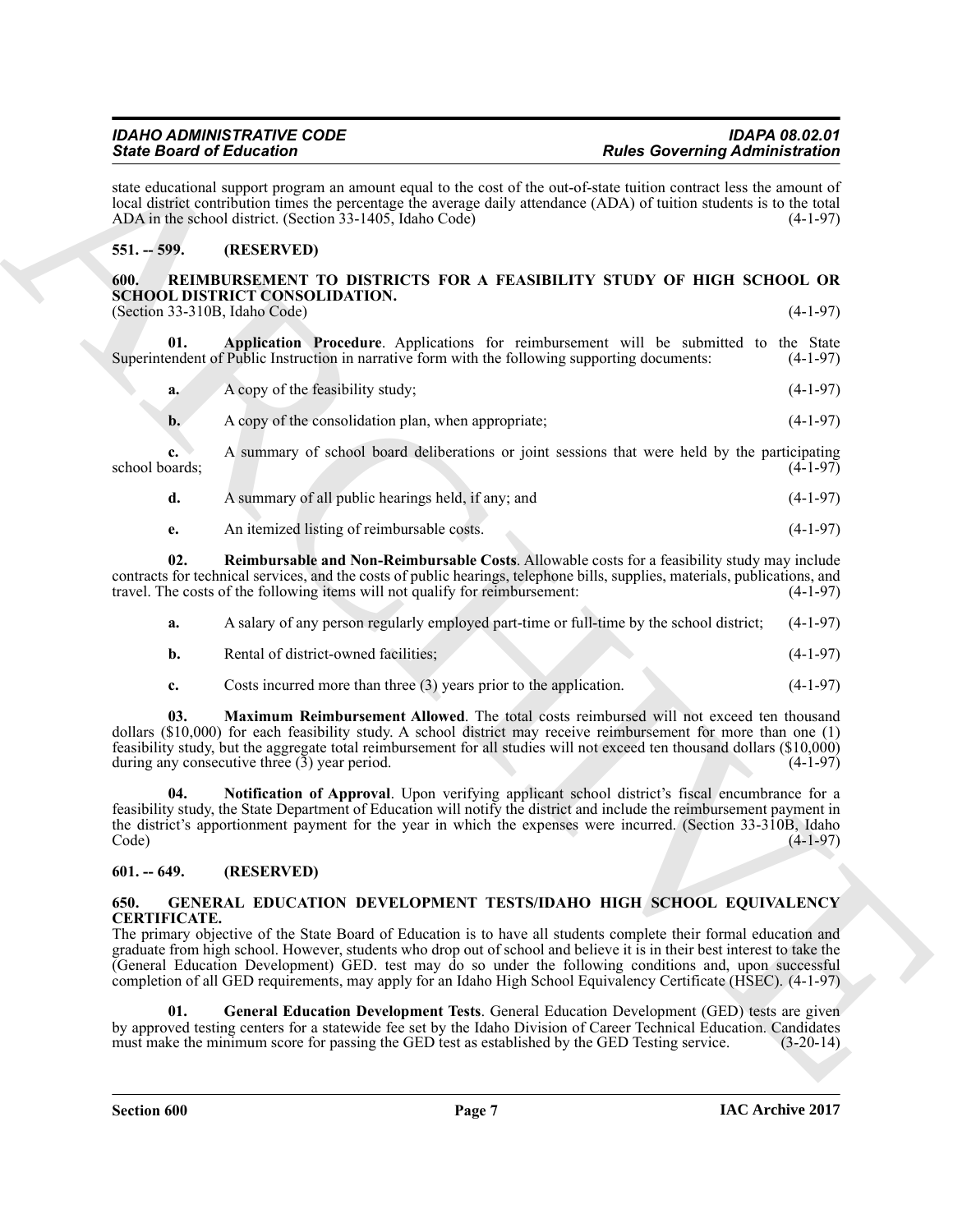| a. | A copy of the feasibility study; | $(4-1-97)$ |
|----|----------------------------------|------------|
|    |                                  |            |

**b.** A copy of the consolidation plan, when appropriate; (4-1-97)

<span id="page-6-7"></span>**01. Application Procedure**. Applications for reimbursement will be submitted to the State

**c.** A summary of school board deliberations or joint sessions that were held by the participating school boards; (4-1-97)

state educational support program an amount equal to the cost of the out-of-state tuition contract less the amount of local district contribution times the percentage the average daily attendance (ADA) of tuition students is to the total ADA in the school district. (Section 33-1405, Idaho Code) (4-1-97)

<span id="page-6-6"></span><span id="page-6-1"></span>**600. REIMBURSEMENT TO DISTRICTS FOR A FEASIBILITY STUDY OF HIGH SCHOOL OR**

Superintendent of Public Instruction in narrative form with the following supporting documents: (4-1-97)

ADA in the school district. (Section 33-1405, Idaho Code)

<span id="page-6-0"></span>**551. -- 599. (RESERVED)**

**SCHOOL DISTRICT CONSOLIDATION.**

| A summary of all public hearings held, if any; and | $(4-1-97)$ |
|----------------------------------------------------|------------|
|                                                    |            |

<span id="page-6-10"></span>**e.** An itemized listing of reimbursable costs. (4-1-97)

**02. Reimbursable and Non-Reimbursable Costs**. Allowable costs for a feasibility study may include contracts for technical services, and the costs of public hearings, telephone bills, supplies, materials, publications, and travel. The costs of the following items will not qualify for reimbursement:

| а. | A salary of any person regularly employed part-time or full-time by the school district; (4-1-97) |            |
|----|---------------------------------------------------------------------------------------------------|------------|
|    | Rental of district-owned facilities;                                                              | $(4-1-97)$ |

<span id="page-6-9"></span><span id="page-6-8"></span>**c.** Costs incurred more than three (3) years prior to the application. (4-1-97)

**03. Maximum Reimbursement Allowed**. The total costs reimbursed will not exceed ten thousand dollars (\$10,000) for each feasibility study. A school district may receive reimbursement for more than one (1) feasibility study, but the aggregate total reimbursement for all studies will not exceed ten thousand dollars (\$10,000) during any consecutive three  $(3)$  year period.

Since Book of Editorion Communications and subsets while control and Book of Editorion Communications in the state of the state of the state of the state of the state of the state of the state of the state of the state of **04. Notification of Approval**. Upon verifying applicant school district's fiscal encumbrance for a feasibility study, the State Department of Education will notify the district and include the reimbursement payment in the district's apportionment payment for the year in which the expenses were incurred. (Section 33-310B, Idaho  $\text{Code)}$  (4-1-97)

### <span id="page-6-2"></span>**601. -- 649. (RESERVED)**

#### <span id="page-6-4"></span><span id="page-6-3"></span>**650. GENERAL EDUCATION DEVELOPMENT TESTS/IDAHO HIGH SCHOOL EQUIVALENCY CERTIFICATE.**

The primary objective of the State Board of Education is to have all students complete their formal education and graduate from high school. However, students who drop out of school and believe it is in their best interest to take the (General Education Development) GED. test may do so under the following conditions and, upon successful completion of all GED requirements, may apply for an Idaho High School Equivalency Certificate (HSEC). (4-1-97)

<span id="page-6-5"></span>**01. General Education Development Tests**. General Education Development (GED) tests are given by approved testing centers for a statewide fee set by the Idaho Division of Career Technical Education. Candidates must make the minimum score for passing the GED test as established by the GED Testing service. (3-20-14) must make the minimum score for passing the GED test as established by the GED Testing service.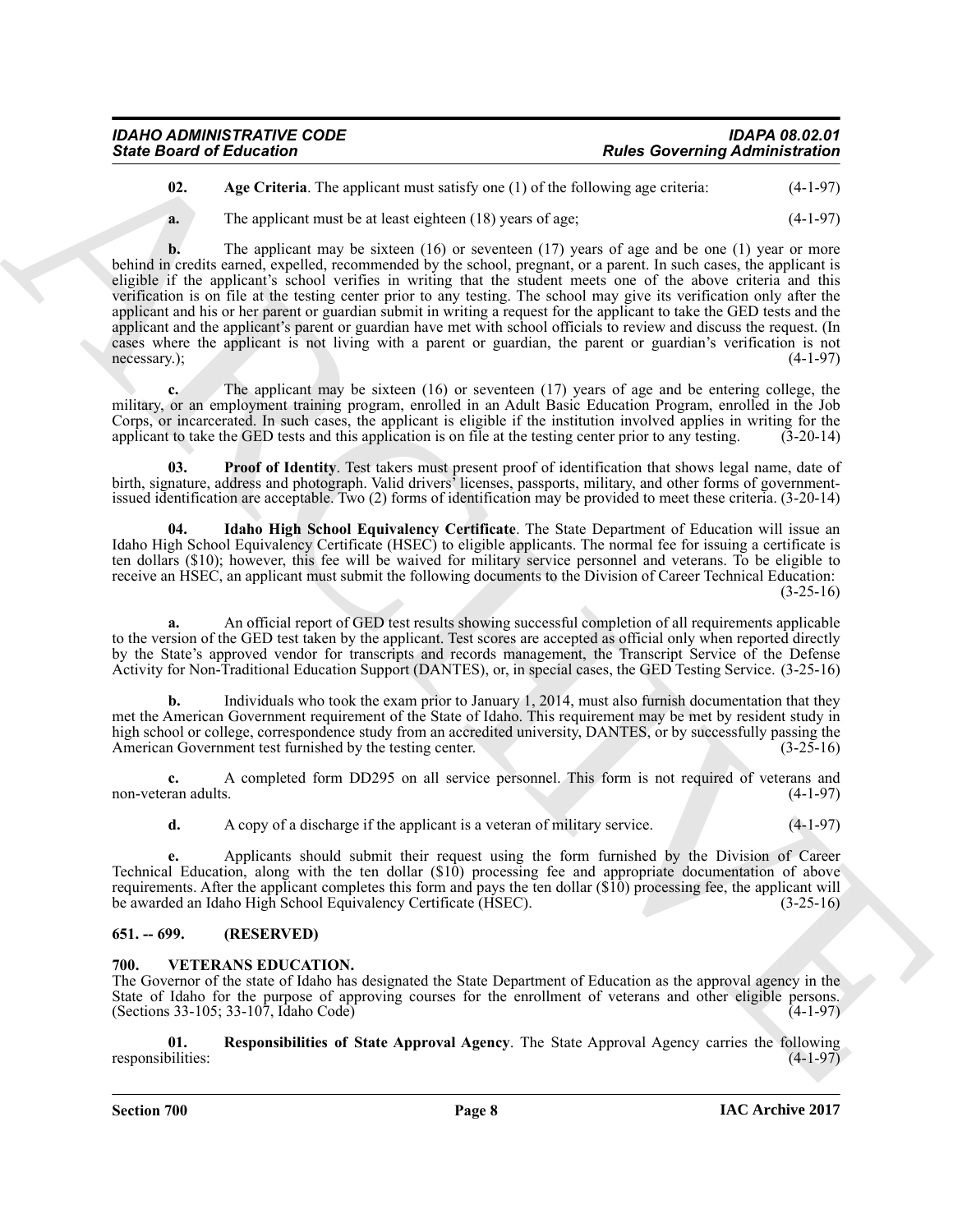| <b>IDAHO ADMINISTRATIVE CODE</b> | <b>IDAPA 08.02.01</b>                 |
|----------------------------------|---------------------------------------|
| <b>State Board of Education</b>  | <b>Rules Governing Administration</b> |

<span id="page-7-2"></span>**02.** Age Criteria. The applicant must satisfy one (1) of the following age criteria:  $(4-1-97)$ 

**a.** The applicant must be at least eighteen (18) years of age; (4-1-97)

**Since Board of Entrement is an** explorate must state' we 11) of the state discrete transformation (4.4.59)<br> **A** Architecture in the state of the state of the state of the state of the state of the state of the state of t **b.** The applicant may be sixteen (16) or seventeen (17) years of age and be one (1) year or more behind in credits earned, expelled, recommended by the school, pregnant, or a parent. In such cases, the applicant is eligible if the applicant's school verifies in writing that the student meets one of the above criteria and this verification is on file at the testing center prior to any testing. The school may give its verification only after the applicant and his or her parent or guardian submit in writing a request for the applicant to take the GED tests and the applicant and the applicant's parent or guardian have met with school officials to review and discuss the request. (In cases where the applicant is not living with a parent or guardian, the parent or guardian's verification is not necessary.); (4-1-97) necessary.);  $(4-1-97)$ 

**c.** The applicant may be sixteen (16) or seventeen (17) years of age and be entering college, the military, or an employment training program, enrolled in an Adult Basic Education Program, enrolled in the Job Corps, or incarcerated. In such cases, the applicant is eligible if the institution involved applies in writing for the applicant to take the GED tests and this application is on file at the testing center prior to any tes applicant to take the GED tests and this application is on file at the testing center prior to any testing.

<span id="page-7-4"></span>**03. Proof of Identity**. Test takers must present proof of identification that shows legal name, date of birth, signature, address and photograph. Valid drivers' licenses, passports, military, and other forms of governmentissued identification are acceptable. Two (2) forms of identification may be provided to meet these criteria. (3-20-14)

<span id="page-7-3"></span>**04. Idaho High School Equivalency Certificate**. The State Department of Education will issue an Idaho High School Equivalency Certificate (HSEC) to eligible applicants. The normal fee for issuing a certificate is ten dollars (\$10); however, this fee will be waived for military service personnel and veterans. To be eligible to receive an HSEC, an applicant must submit the following documents to the Division of Career Technical Education: (3-25-16)

**a.** An official report of GED test results showing successful completion of all requirements applicable to the version of the GED test taken by the applicant. Test scores are accepted as official only when reported directly by the State's approved vendor for transcripts and records management, the Transcript Service of the Defense Activity for Non-Traditional Education Support (DANTES), or, in special cases, the GED Testing Service. (3-25-16)

**b.** Individuals who took the exam prior to January 1, 2014, must also furnish documentation that they met the American Government requirement of the State of Idaho. This requirement may be met by resident study in high school or college, correspondence study from an accredited university, DANTES, or by successfully passing the American Government test furnished by the testing center. (3-25-16)

**c.** A completed form DD295 on all service personnel. This form is not required of veterans and non-veteran adults.

**d.** A copy of a discharge if the applicant is a veteran of military service. (4-1-97)

**e.** Applicants should submit their request using the form furnished by the Division of Career Technical Education, along with the ten dollar (\$10) processing fee and appropriate documentation of above requirements. After the applicant completes this form and pays the ten dollar  $(\$10)$  processing fee, the applicant will be awarded an Idaho High School Equivalency Certificate (HSEC).  $(3-25-16)$ be awarded an Idaho High School Equivalency Certificate (HSEC).

#### <span id="page-7-0"></span>**651. -- 699. (RESERVED)**

#### <span id="page-7-5"></span><span id="page-7-1"></span>**700. VETERANS EDUCATION.**

The Governor of the state of Idaho has designated the State Department of Education as the approval agency in the State of Idaho for the purpose of approving courses for the enrollment of veterans and other eligible persons.  $(Sections\ 33-105; 33-107, Idaho Code)$  (4-1-97)

<span id="page-7-6"></span>**01. Responsibilities of State Approval Agency**. The State Approval Agency carries the following responsibilities: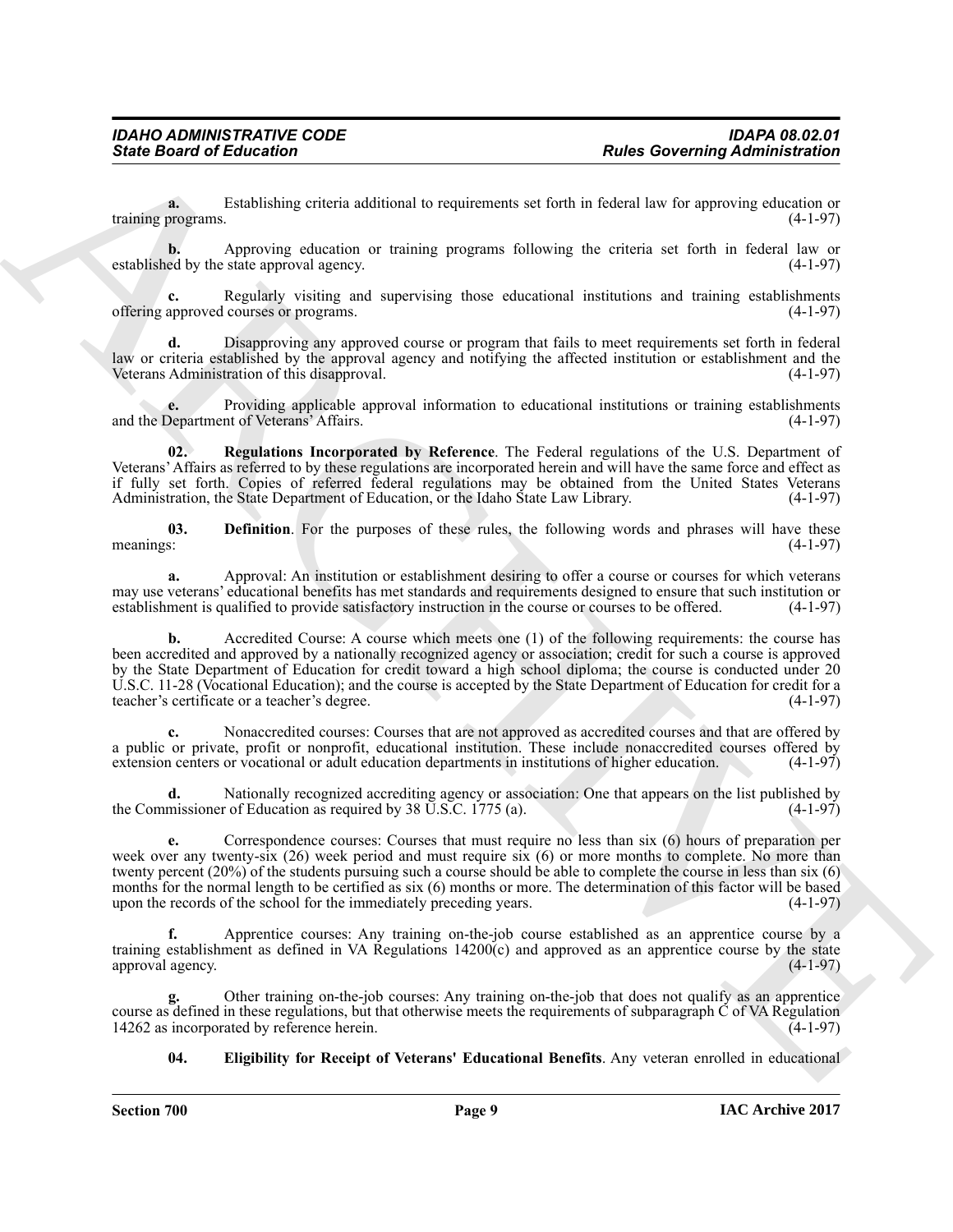**a.** Establishing criteria additional to requirements set forth in federal law for approving education or programs. (4-1-97) training programs.

**b.** Approving education or training programs following the criteria set forth in federal law or established by the state approval agency. (4-1-97)

**c.** Regularly visiting and supervising those educational institutions and training establishments offering approved courses or programs. (4-1-97)

**d.** Disapproving any approved course or program that fails to meet requirements set forth in federal law or criteria established by the approval agency and notifying the affected institution or establishment and the Veterans Administration of this disapproval. Veterans Administration of this disapproval.

**e.** Providing applicable approval information to educational institutions or training establishments and the Department of Veterans' Affairs.

<span id="page-8-2"></span>**02. Regulations Incorporated by Reference**. The Federal regulations of the U.S. Department of Veterans' Affairs as referred to by these regulations are incorporated herein and will have the same force and effect as if fully set forth. Copies of referred federal regulations may be obtained from the United States Veterans Administration, the State Department of Education, or the Idaho State Law Library.

<span id="page-8-0"></span>**03. Definition**. For the purposes of these rules, the following words and phrases will have these meanings: (4-1-97) meanings: (4-1-97)

**a.** Approval: An institution or establishment desiring to offer a course or courses for which veterans may use veterans' educational benefits has met standards and requirements designed to ensure that such institution or establishment is qualified to provide satisfactory instruction in the course or courses to be offered. ( establishment is qualified to provide satisfactory instruction in the course or courses to be offered.

Since Board of Entremotion Control is required to be a statement of Euck Governing Administration corresponds to the control in the system of the system of the system of the system of the system of the system of the syste **b.** Accredited Course: A course which meets one (1) of the following requirements: the course has been accredited and approved by a nationally recognized agency or association; credit for such a course is approved by the State Department of Education for credit toward a high school diploma; the course is conducted under 20 U.S.C. 11-28 (Vocational Education); and the course is accepted by the State Department of Education for credit for a teacher's certificate or a teacher's degree. (4-1-97)

**c.** Nonaccredited courses: Courses that are not approved as accredited courses and that are offered by a public or private, profit or nonprofit, educational institution. These include nonaccredited courses offered by extension centers or vocational or adult education departments in institutions of higher education. (4-1-97) extension centers or vocational or adult education departments in institutions of higher education.

**d.** Nationally recognized accrediting agency or association: One that appears on the list published by missioner of Education as required by 38 U.S.C. 1775 (a). the Commissioner of Education as required by  $38 \overline{U}$ .S.C. 1775 (a).

**e.** Correspondence courses: Courses that must require no less than six (6) hours of preparation per week over any twenty-six (26) week period and must require six (6) or more months to complete. No more than twenty percent (20%) of the students pursuing such a course should be able to complete the course in less than six (6) months for the normal length to be certified as six (6) months or more. The determination of this factor will be based<br>upon the records of the school for the immediately preceding years. upon the records of the school for the immediately preceding years.

**f.** Apprentice courses: Any training on-the-job course established as an apprentice course by a training establishment as defined in VA Regulations  $14200(c)$  and approved as an apprentice course by the state approval agency.  $(4-1-97)$ approval agency.

**g.** Other training on-the-job courses: Any training on-the-job that does not qualify as an apprentice course as defined in these regulations, but that otherwise meets the requirements of subparagraph  $\check{C}$  of VA Regulation 14262 as incorporated by reference herein. 14262 as incorporated by reference herein.

<span id="page-8-1"></span>**04. Eligibility for Receipt of Veterans' Educational Benefits**. Any veteran enrolled in educational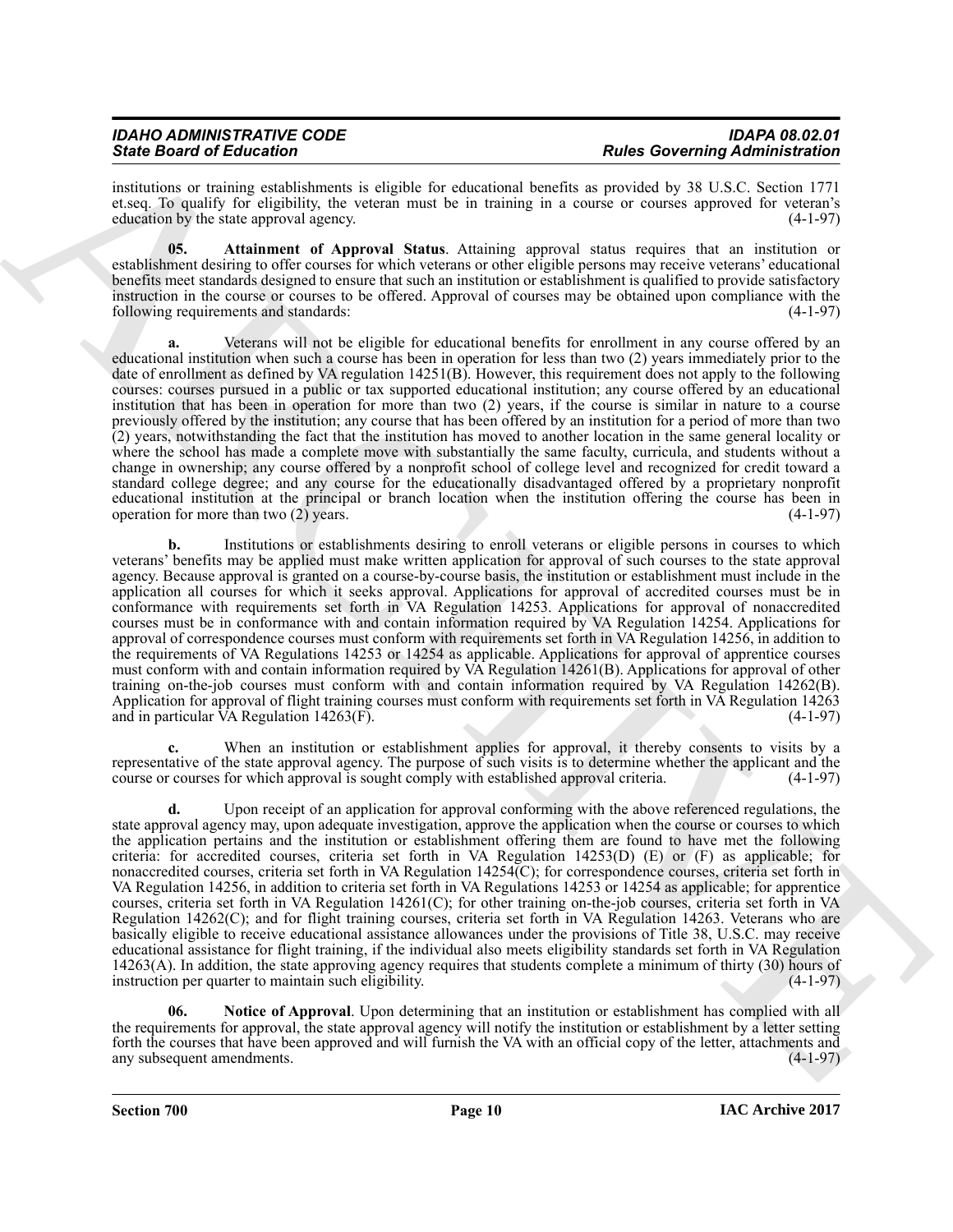#### *IDAHO ADMINISTRATIVE CODE IDAPA 08.02.01 State Board of Education Rules Governing Administration*

institutions or training establishments is eligible for educational benefits as provided by 38 U.S.C. Section 1771 et.seq. To qualify for eligibility, the veteran must be in training in a course or courses approved for veteran's education by the state approval agency.

<span id="page-9-0"></span>**05. Attainment of Approval Status**. Attaining approval status requires that an institution or establishment desiring to offer courses for which veterans or other eligible persons may receive veterans' educational benefits meet standards designed to ensure that such an institution or establishment is qualified to provide satisfactory instruction in the course or courses to be offered. Approval of courses may be obtained upon compliance with the following requirements and standards: (4-1-97)

Since Board of Education and statistics at dealer is equivalent to Real Governing distribution in the statistics of the statistics of the statistics of the statistics of the statistics of the statistics of the statistics **a.** Veterans will not be eligible for educational benefits for enrollment in any course offered by an educational institution when such a course has been in operation for less than two (2) years immediately prior to the date of enrollment as defined by VA regulation 14251(B). However, this requirement does not apply to the following courses: courses pursued in a public or tax supported educational institution; any course offered by an educational institution that has been in operation for more than two (2) years, if the course is similar in nature to a course previously offered by the institution; any course that has been offered by an institution for a period of more than two (2) years, notwithstanding the fact that the institution has moved to another location in the same general locality or where the school has made a complete move with substantially the same faculty, curricula, and students without a change in ownership; any course offered by a nonprofit school of college level and recognized for credit toward a standard college degree; and any course for the educationally disadvantaged offered by a proprietary nonprofit educational institution at the principal or branch location when the institution offering the course has been in operation for more than two  $(2)$  vears. operation for more than two  $(2)$  years.

**b.** Institutions or establishments desiring to enroll veterans or eligible persons in courses to which veterans' benefits may be applied must make written application for approval of such courses to the state approval agency. Because approval is granted on a course-by-course basis, the institution or establishment must include in the application all courses for which it seeks approval. Applications for approval of accredited courses must be in conformance with requirements set forth in VA Regulation 14253. Applications for approval of nonaccredited courses must be in conformance with and contain information required by VA Regulation 14254. Applications for approval of correspondence courses must conform with requirements set forth in VA Regulation 14256, in addition to the requirements of VA Regulations 14253 or 14254 as applicable. Applications for approval of apprentice courses must conform with and contain information required by VA Regulation 14261(B). Applications for approval of other training on-the-job courses must conform with and contain information required by VA Regulation 14262(B). Application for approval of flight training courses must conform with requirements set forth in VA Regulation 14263 and in particular VA Regulation 14263(F). and in particular  $\widehat{VA}$  Regulation 14263(F).

When an institution or establishment applies for approval, it thereby consents to visits by a representative of the state approval agency. The purpose of such visits is to determine whether the applicant and the course or courses for which approval is sought comply with established approval criteria. (4-1-97)

**d.** Upon receipt of an application for approval conforming with the above referenced regulations, the state approval agency may, upon adequate investigation, approve the application when the course or courses to which the application pertains and the institution or establishment offering them are found to have met the following criteria: for accredited courses, criteria set forth in VA Regulation 14253(D) (E) or (F) as applicable; for nonaccredited courses, criteria set forth in VA Regulation 14254(C); for correspondence courses, criteria set forth in VA Regulation 14256, in addition to criteria set forth in VA Regulations 14253 or 14254 as applicable; for apprentice courses, criteria set forth in VA Regulation 14261(C); for other training on-the-job courses, criteria set forth in VA Regulation 14262(C); and for flight training courses, criteria set forth in VA Regulation 14263. Veterans who are basically eligible to receive educational assistance allowances under the provisions of Title 38, U.S.C. may receive educational assistance for flight training, if the individual also meets eligibility standards set forth in VA Regulation 14263(A). In addition, the state approving agency requires that students complete a minimum of thirty (30) hours of instruction per quarter to maintain such eligibility. (4-1-97)

<span id="page-9-1"></span>**06. Notice of Approval**. Upon determining that an institution or establishment has complied with all the requirements for approval, the state approval agency will notify the institution or establishment by a letter setting forth the courses that have been approved and will furnish the VA with an official copy of the letter, attachments and any subsequent amendments. (4-1-97) any subsequent amendments.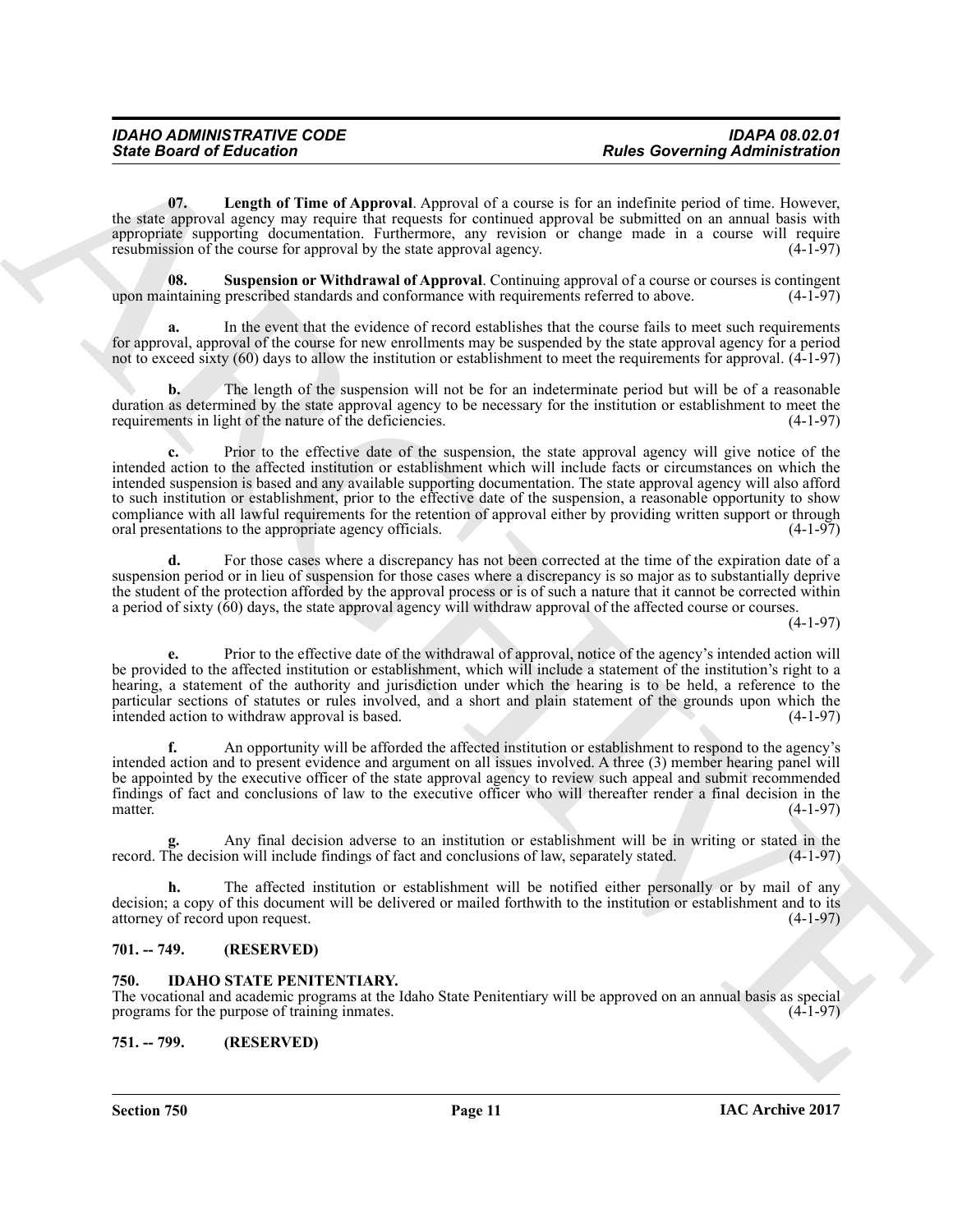<span id="page-10-4"></span>**07. Length of Time of Approval**. Approval of a course is for an indefinite period of time. However, the state approval agency may require that requests for continued approval be submitted on an annual basis with appropriate supporting documentation. Furthermore, any revision or change made in a course will require resubmission of the course for approval by the state approval agency. (4-1-97)

<span id="page-10-5"></span>**08.** Suspension or Withdrawal of Approval. Continuing approval of a course or courses is contingent intaining prescribed standards and conformance with requirements referred to above.  $(4-1-97)$ upon maintaining prescribed standards and conformance with requirements referred to above.

**a.** In the event that the evidence of record establishes that the course fails to meet such requirements for approval, approval of the course for new enrollments may be suspended by the state approval agency for a period not to exceed sixty (60) days to allow the institution or establishment to meet the requirements for approval. (4-1-97)

**b.** The length of the suspension will not be for an indeterminate period but will be of a reasonable duration as determined by the state approval agency to be necessary for the institution or establishment to meet the requirements in light of the nature of the deficiencies. (4-1-97) requirements in light of the nature of the deficiencies.

Sinte Board of Entreprint Time of Approval Applyinal of a countries is also discrete in the collection of the state of the countries in the state of the countries of the countries of the countries of the countries of the Prior to the effective date of the suspension, the state approval agency will give notice of the intended action to the affected institution or establishment which will include facts or circumstances on which the intended suspension is based and any available supporting documentation. The state approval agency will also afford to such institution or establishment, prior to the effective date of the suspension, a reasonable opportunity to show compliance with all lawful requirements for the retention of approval either by providing written support or through oral presentations to the appropriate agency officials. oral presentations to the appropriate agency officials.

**d.** For those cases where a discrepancy has not been corrected at the time of the expiration date of a suspension period or in lieu of suspension for those cases where a discrepancy is so major as to substantially deprive the student of the protection afforded by the approval process or is of such a nature that it cannot be corrected within a period of sixty (60) days, the state approval agency will withdraw approval of the affected course or courses.

(4-1-97)

**e.** Prior to the effective date of the withdrawal of approval, notice of the agency's intended action will be provided to the affected institution or establishment, which will include a statement of the institution's right to a hearing, a statement of the authority and jurisdiction under which the hearing is to be held, a reference to the particular sections of statutes or rules involved, and a short and plain statement of the grounds upon which the intended action to withdraw approval is based. (4-1-97) intended action to withdraw approval is based.

**f.** An opportunity will be afforded the affected institution or establishment to respond to the agency's intended action and to present evidence and argument on all issues involved. A three (3) member hearing panel will be appointed by the executive officer of the state approval agency to review such appeal and submit recommended findings of fact and conclusions of law to the executive officer who will thereafter render a final decision in the matter.  $(4-1-97)$ 

Any final decision adverse to an institution or establishment will be in writing or stated in the on will include findings of fact and conclusions of law, separately stated. (4-1-97) record. The decision will include findings of fact and conclusions of law, separately stated.

**h.** The affected institution or establishment will be notified either personally or by mail of any decision; a copy of this document will be delivered or mailed forthwith to the institution or establishment and to its attorney of record upon request. (4-1-97)

#### <span id="page-10-0"></span>**701. -- 749. (RESERVED)**

#### <span id="page-10-3"></span><span id="page-10-1"></span>**750. IDAHO STATE PENITENTIARY.**

The vocational and academic programs at the Idaho State Penitentiary will be approved on an annual basis as special programs for the purpose of training inmates.

<span id="page-10-2"></span>**751. -- 799. (RESERVED)**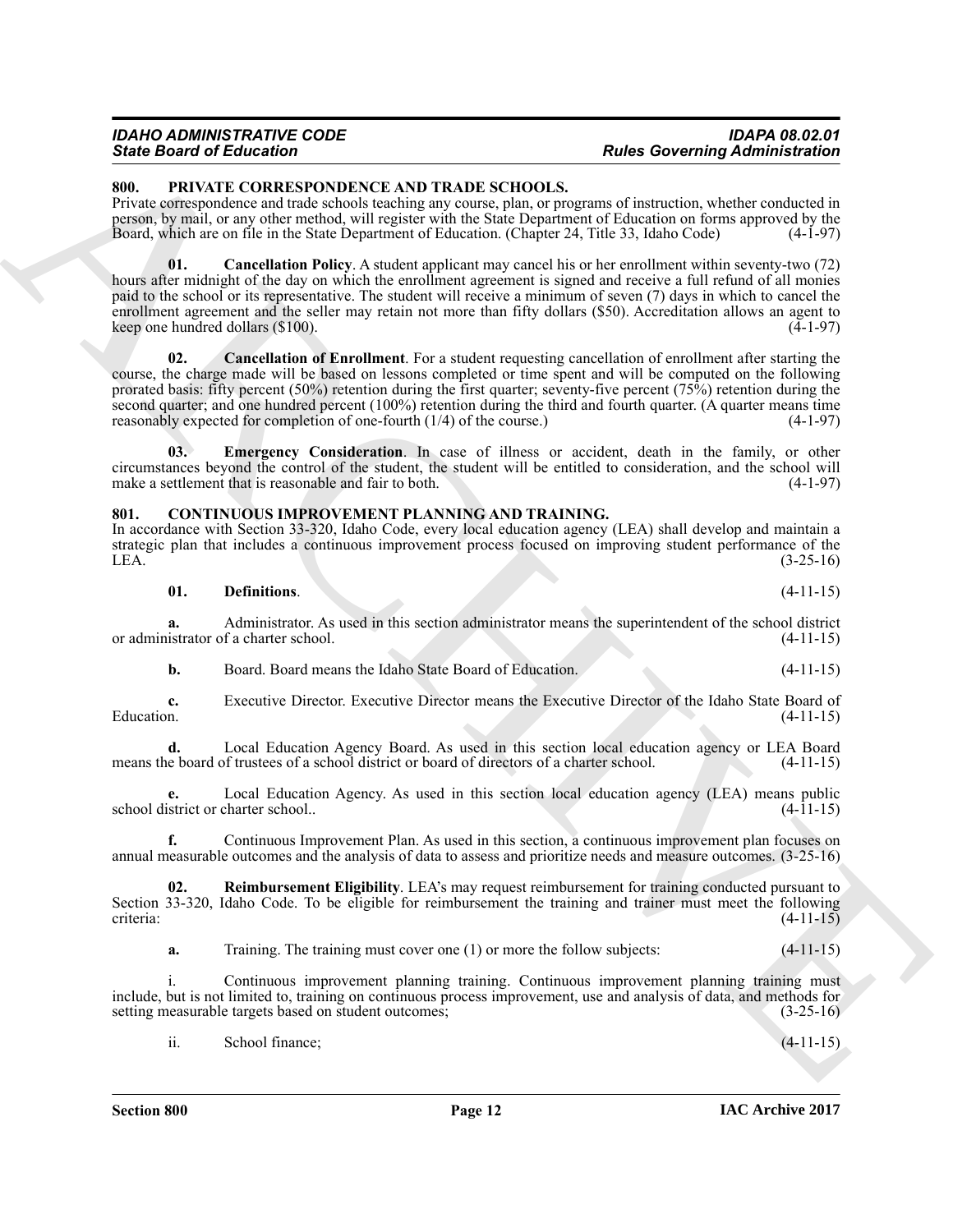#### *IDAHO ADMINISTRATIVE CODE IDAPA 08.02.01 State Board of Education Rules Governing Administration*

#### <span id="page-11-5"></span><span id="page-11-0"></span>**800. PRIVATE CORRESPONDENCE AND TRADE SCHOOLS.**

Private correspondence and trade schools teaching any course, plan, or programs of instruction, whether conducted in person, by mail, or any other method, will register with the State Department of Education on forms approved by the Board, which are on file in the State Department of Education. (Chapter 24, Title 33, Idaho Code)

<span id="page-11-7"></span><span id="page-11-6"></span>**01. Cancellation Policy**. A student applicant may cancel his or her enrollment within seventy-two (72) hours after midnight of the day on which the enrollment agreement is signed and receive a full refund of all monies paid to the school or its representative. The student will receive a minimum of seven (7) days in which to cancel the enrollment agreement and the seller may retain not more than fifty dollars (\$50). Accreditation allows an agent to keep one hundred dollars  $(\$100)$ . (4-1-97)

Since Book of Education Control in the March School of the Since Education Photo Control in the Since Control in the Since Control in the Since Control in the Since Control in the Since Control in the Since Control in the **02. Cancellation of Enrollment**. For a student requesting cancellation of enrollment after starting the course, the charge made will be based on lessons completed or time spent and will be computed on the following prorated basis: fifty percent (50%) retention during the first quarter; seventy-five percent (75%) retention during the second quarter; and one hundred percent (100%) retention during the third and fourth quarter. (A quarter means time reasonably expected for completion of one-fourth  $(1/4)$  of the course.) (4-1-97)

<span id="page-11-8"></span>**03. Emergency Consideration**. In case of illness or accident, death in the family, or other circumstances beyond the control of the student, the student will be entitled to consideration, and the school will make a settlement that is reasonable and fair to both.

#### <span id="page-11-2"></span><span id="page-11-1"></span>**801. CONTINUOUS IMPROVEMENT PLANNING AND TRAINING.**

In accordance with Section 33-320, Idaho Code, every local education agency (LEA) shall develop and maintain a strategic plan that includes a continuous improvement process focused on improving student performance of the LEA.  $(3-25-16)$ 

<span id="page-11-3"></span>**01. Definitions**. (4-11-15)

**a.** Administrator. As used in this section administrator means the superintendent of the school district istrator of a charter school. (4-11-15) or administrator of a charter school.

**b.** Board. Board means the Idaho State Board of Education. (4-11-15)

**c.** Executive Director. Executive Director means the Executive Director of the Idaho State Board of Education. (4-11-15) Education.  $(4-11-15)$ 

**d.** Local Education Agency Board. As used in this section local education agency or LEA Board e board of trustees of a school district or board of directors of a charter school. (4-11-15) means the board of trustees of a school district or board of directors of a charter school.

**e.** Local Education Agency. As used in this section local education agency (LEA) means public strict or charter school.. (4-11-15) school district or charter school..

**f.** Continuous Improvement Plan. As used in this section, a continuous improvement plan focuses on annual measurable outcomes and the analysis of data to assess and prioritize needs and measure outcomes. (3-25-16)

**02. Reimbursement Eligibility**. LEA's may request reimbursement for training conducted pursuant to Section 33-320, Idaho Code. To be eligible for reimbursement the training and trainer must meet the following criteria: (4-11-15)

<span id="page-11-4"></span>**a.** Training. The training must cover one (1) or more the follow subjects:  $(4-11-15)$ 

Continuous improvement planning training. Continuous improvement planning training must include, but is not limited to, training on continuous process improvement, use and analysis of data, and methods for setting measurable targets based on student outcomes; (3-25-16)

ii. School finance;  $(4-11-15)$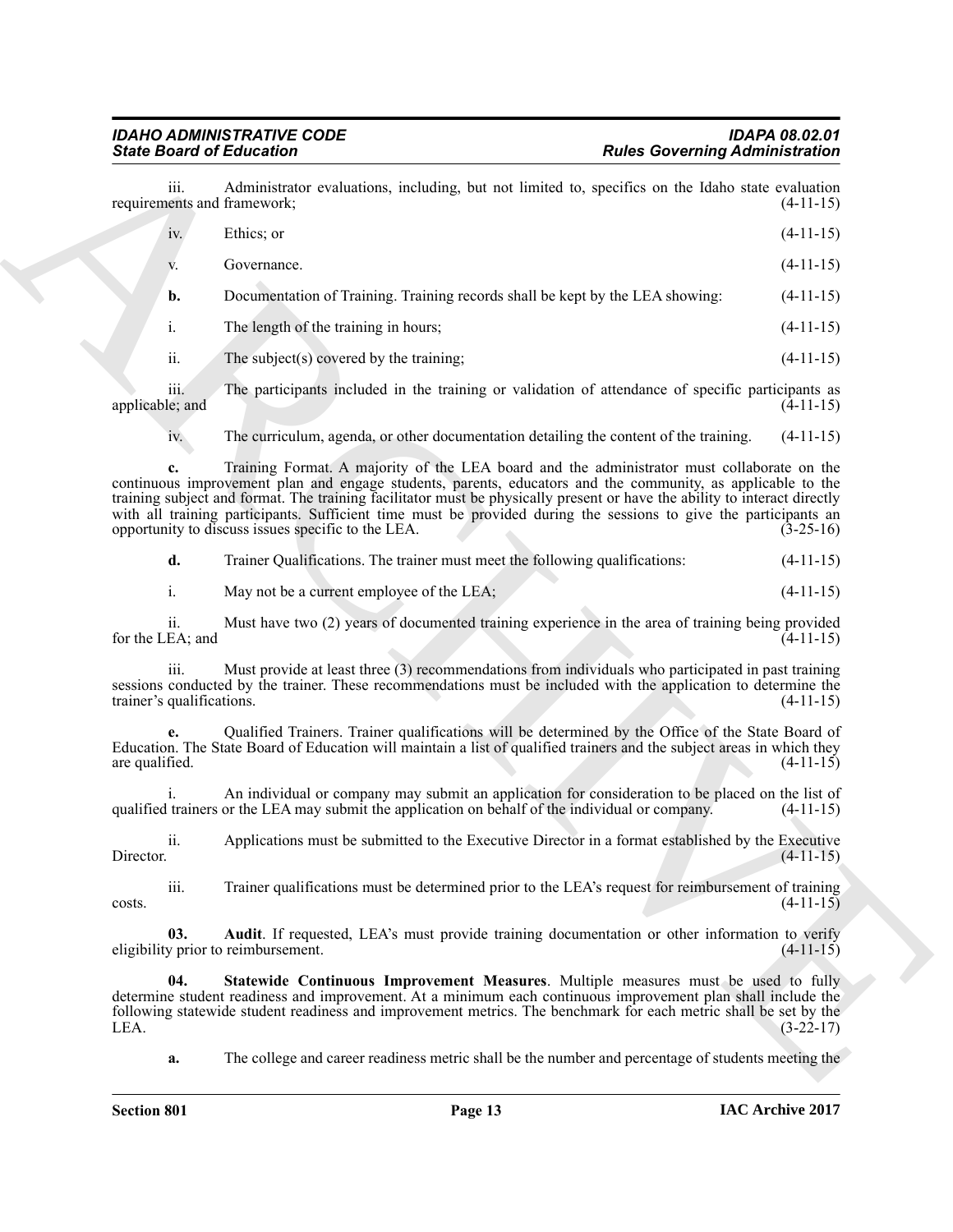## <span id="page-12-1"></span><span id="page-12-0"></span>*IDAHO ADMINISTRATIVE CODE IDAPA 08.02.01*

| <b>State Board of Education</b>     |                                                                                                                                                                                                                                                                                                                                                                                                                                                                                                                  | <b>Rules Governing Administration</b> |
|-------------------------------------|------------------------------------------------------------------------------------------------------------------------------------------------------------------------------------------------------------------------------------------------------------------------------------------------------------------------------------------------------------------------------------------------------------------------------------------------------------------------------------------------------------------|---------------------------------------|
| iii.<br>requirements and framework; | Administrator evaluations, including, but not limited to, specifics on the Idaho state evaluation                                                                                                                                                                                                                                                                                                                                                                                                                | $(4-11-15)$                           |
| iv.                                 | Ethics; or                                                                                                                                                                                                                                                                                                                                                                                                                                                                                                       | $(4-11-15)$                           |
| V.                                  | Governance.                                                                                                                                                                                                                                                                                                                                                                                                                                                                                                      | $(4-11-15)$                           |
| b.                                  | Documentation of Training. Training records shall be kept by the LEA showing:                                                                                                                                                                                                                                                                                                                                                                                                                                    | $(4-11-15)$                           |
| i.                                  | The length of the training in hours;                                                                                                                                                                                                                                                                                                                                                                                                                                                                             | $(4-11-15)$                           |
| ii.                                 | The subject(s) covered by the training;                                                                                                                                                                                                                                                                                                                                                                                                                                                                          | $(4-11-15)$                           |
| iii.<br>applicable; and             | The participants included in the training or validation of attendance of specific participants as                                                                                                                                                                                                                                                                                                                                                                                                                | $(4-11-15)$                           |
| iv.                                 | The curriculum, agenda, or other documentation detailing the content of the training.                                                                                                                                                                                                                                                                                                                                                                                                                            | $(4-11-15)$                           |
| c.                                  | Training Format. A majority of the LEA board and the administrator must collaborate on the<br>continuous improvement plan and engage students, parents, educators and the community, as applicable to the<br>training subject and format. The training facilitator must be physically present or have the ability to interact directly<br>with all training participants. Sufficient time must be provided during the sessions to give the participants an<br>opportunity to discuss issues specific to the LEA. | $(3-25-16)$                           |
| d.                                  | Trainer Qualifications. The trainer must meet the following qualifications:                                                                                                                                                                                                                                                                                                                                                                                                                                      | $(4-11-15)$                           |
| i.                                  | May not be a current employee of the LEA;                                                                                                                                                                                                                                                                                                                                                                                                                                                                        | $(4-11-15)$                           |
| ii.<br>for the LEA; and             | Must have two (2) years of documented training experience in the area of training being provided                                                                                                                                                                                                                                                                                                                                                                                                                 | $(4-11-15)$                           |
| iii.<br>trainer's qualifications.   | Must provide at least three (3) recommendations from individuals who participated in past training<br>sessions conducted by the trainer. These recommendations must be included with the application to determine the                                                                                                                                                                                                                                                                                            | $(4-11-15)$                           |
| are qualified.                      | Qualified Trainers. Trainer qualifications will be determined by the Office of the State Board of<br>Education. The State Board of Education will maintain a list of qualified trainers and the subject areas in which they                                                                                                                                                                                                                                                                                      | $(4-11-15)$                           |
|                                     | An individual or company may submit an application for consideration to be placed on the list of<br>qualified trainers or the LEA may submit the application on behalf of the individual or company.                                                                                                                                                                                                                                                                                                             | $(4-11-15)$                           |
| ii.<br>Director.                    | Applications must be submitted to the Executive Director in a format established by the Executive                                                                                                                                                                                                                                                                                                                                                                                                                | $(4-11-15)$                           |
| iii.<br>costs.                      | Trainer qualifications must be determined prior to the LEA's request for reimbursement of training                                                                                                                                                                                                                                                                                                                                                                                                               | $(4-11-15)$                           |
| 03.                                 | Audit. If requested, LEA's must provide training documentation or other information to verify<br>eligibility prior to reimbursement.                                                                                                                                                                                                                                                                                                                                                                             | $(4-11-15)$                           |
| 04.<br>LEA.                         | Statewide Continuous Improvement Measures. Multiple measures must be used to fully<br>determine student readiness and improvement. At a minimum each continuous improvement plan shall include the<br>following statewide student readiness and improvement metrics. The benchmark for each metric shall be set by the                                                                                                                                                                                           | $(3-22-17)$                           |
| a.                                  | The college and career readiness metric shall be the number and percentage of students meeting the                                                                                                                                                                                                                                                                                                                                                                                                               |                                       |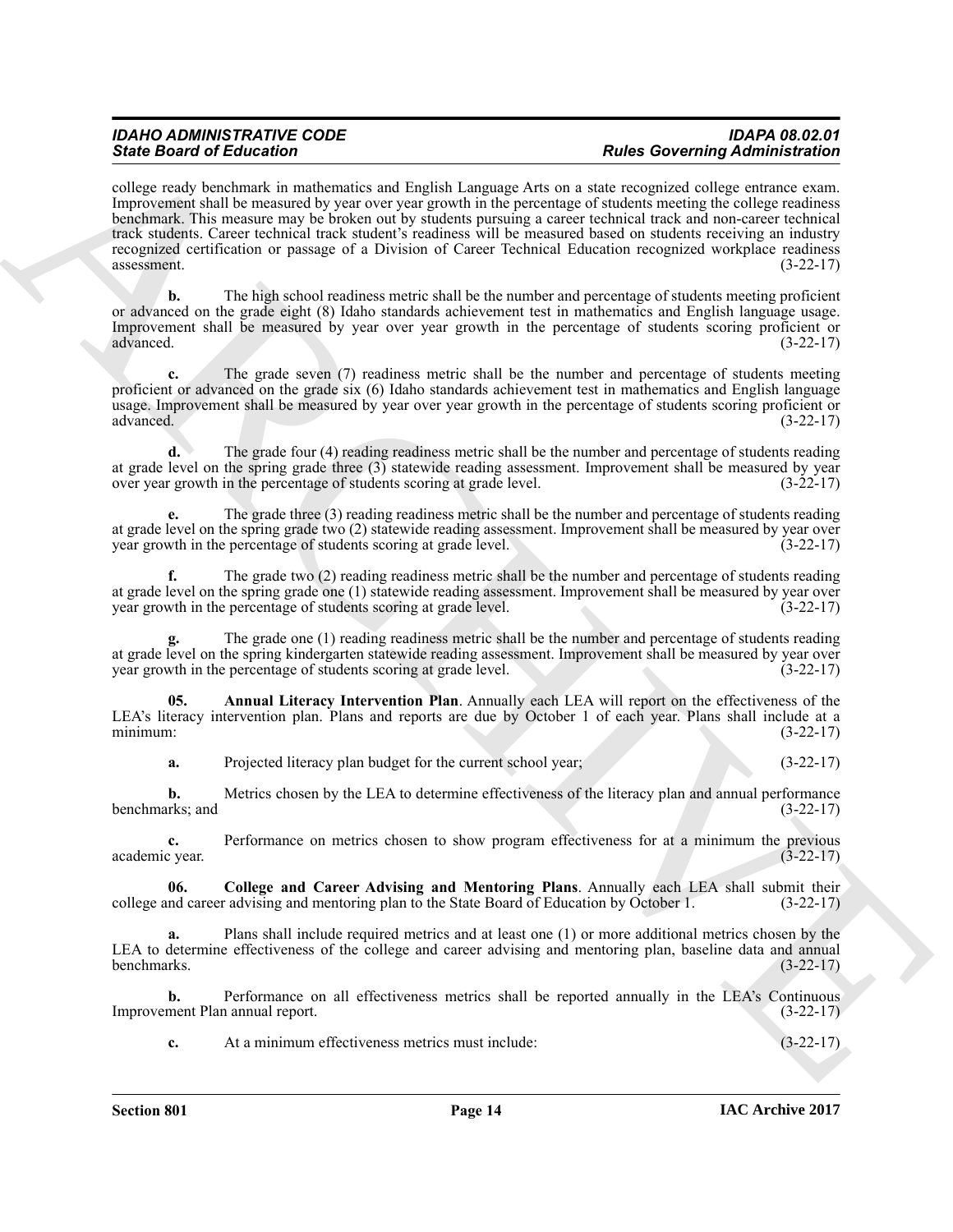#### *IDAHO ADMINISTRATIVE CODE IDAPA 08.02.01 State Board of Education Rules Governing Administration*

Sink Boston of Education Counterparticles and leadship and the sink and the effect of the sink and the sink and the sink and the sink and the sink and the sink and the sink and the sink and the sink and the sink and the s college ready benchmark in mathematics and English Language Arts on a state recognized college entrance exam. Improvement shall be measured by year over year growth in the percentage of students meeting the college readiness benchmark. This measure may be broken out by students pursuing a career technical track and non-career technical track students. Career technical track student's readiness will be measured based on students receiving an industry recognized certification or passage of a Division of Career Technical Education recognized workplace readiness  $assessment.$   $(3-22-17)$ 

**b.** The high school readiness metric shall be the number and percentage of students meeting proficient or advanced on the grade eight (8) Idaho standards achievement test in mathematics and English language usage. Improvement shall be measured by year over year growth in the percentage of students scoring proficient or advanced. (3-22-17)

**c.** The grade seven (7) readiness metric shall be the number and percentage of students meeting proficient or advanced on the grade six (6) Idaho standards achievement test in mathematics and English language usage. Improvement shall be measured by year over year growth in the percentage of students scoring proficient or advanced.  $(3-22-17)$ advanced. (3-22-17)

**d.** The grade four (4) reading readiness metric shall be the number and percentage of students reading at grade level on the spring grade three (3) statewide reading assessment. Improvement shall be measured by year<br>over year growth in the percentage of students scoring at grade level. (3-22-17) over year growth in the percentage of students scoring at grade level.

**e.** The grade three (3) reading readiness metric shall be the number and percentage of students reading at grade level on the spring grade two (2) statewide reading assessment. Improvement shall be measured by year over<br>year growth in the percentage of students scoring at grade level. (3-22-17) year growth in the percentage of students scoring at grade level.

**f.** The grade two (2) reading readiness metric shall be the number and percentage of students reading at grade level on the spring grade one (1) statewide reading assessment. Improvement shall be measured by year over<br>year growth in the percentage of students scoring at grade level. (3-22-17) year growth in the percentage of students scoring at grade level.

**g.** The grade one (1) reading readiness metric shall be the number and percentage of students reading at grade level on the spring kindergarten statewide reading assessment. Improvement shall be measured by year over<br>year growth in the percentage of students scoring at grade level. (3-22-17) year growth in the percentage of students scoring at grade level.

**05. Annual Literacy Intervention Plan**. Annually each LEA will report on the effectiveness of the LEA's literacy intervention plan. Plans and reports are due by October 1 of each year. Plans shall include at a minimum: (3-22-17) minimum: (3-22-17)

<span id="page-13-0"></span>**a.** Projected literacy plan budget for the current school year; (3-22-17)

**b.** Metrics chosen by the LEA to determine effectiveness of the literacy plan and annual performance (13-22-17) benchmarks; and

**c.** Performance on metrics chosen to show program effectiveness for at a minimum the previous cyear. (3-22-17) academic year.

<span id="page-13-1"></span>**06.** College and Career Advising and Mentoring Plans. Annually each LEA shall submit their ind career advising and mentoring plan to the State Board of Education by October 1. (3-22-17) college and career advising and mentoring plan to the State Board of Education by October 1.

**a.** Plans shall include required metrics and at least one (1) or more additional metrics chosen by the LEA to determine effectiveness of the college and career advising and mentoring plan, baseline data and annual benchmarks. (3-22-17) benchmarks. (3-22-17)

**b.** Performance on all effectiveness metrics shall be reported annually in the LEA's Continuous Improvement Plan annual report. (3-22-17)

**c.** At a minimum effectiveness metrics must include: (3-22-17)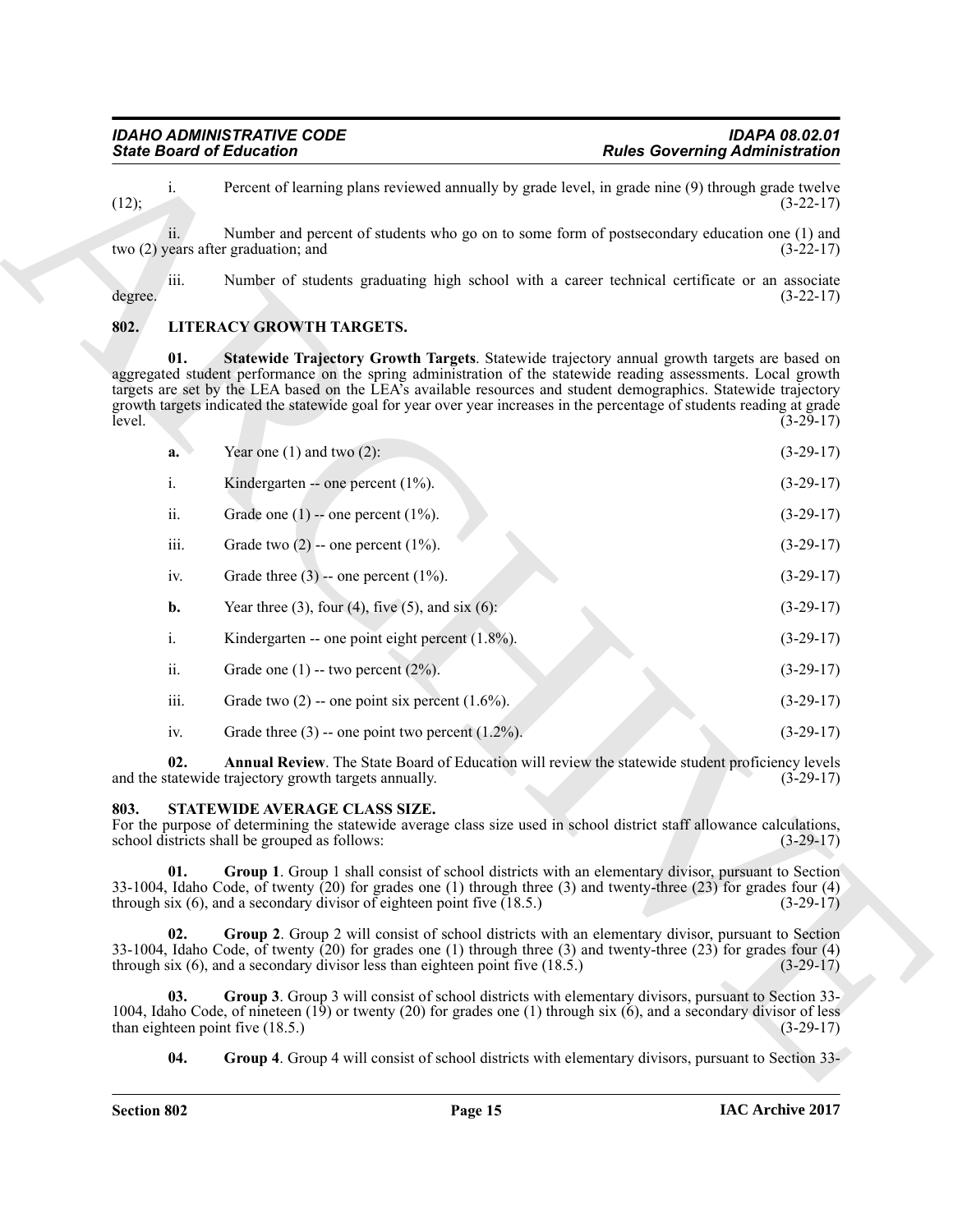#### <span id="page-14-4"></span><span id="page-14-2"></span><span id="page-14-0"></span>**802. LITERACY GROWTH TARGETS.**

| <b>State Board of Education</b>                                                                                                                                                                                 |                                                                                                                                                                                                                                                                                                                                                                                                                                                               | <b>Rules Governing Administration</b>                                                                      |
|-----------------------------------------------------------------------------------------------------------------------------------------------------------------------------------------------------------------|---------------------------------------------------------------------------------------------------------------------------------------------------------------------------------------------------------------------------------------------------------------------------------------------------------------------------------------------------------------------------------------------------------------------------------------------------------------|------------------------------------------------------------------------------------------------------------|
| i.<br>(12);                                                                                                                                                                                                     | Percent of learning plans reviewed annually by grade level, in grade nine (9) through grade twelve                                                                                                                                                                                                                                                                                                                                                            | $(3-22-17)$                                                                                                |
| ii.<br>two (2) years after graduation; and                                                                                                                                                                      | Number and percent of students who go on to some form of postsecondary education one (1) and                                                                                                                                                                                                                                                                                                                                                                  | $(3-22-17)$                                                                                                |
| iii.<br>degree.                                                                                                                                                                                                 | Number of students graduating high school with a career technical certificate or an associate                                                                                                                                                                                                                                                                                                                                                                 | $(3-22-17)$                                                                                                |
| 802.                                                                                                                                                                                                            | LITERACY GROWTH TARGETS.                                                                                                                                                                                                                                                                                                                                                                                                                                      |                                                                                                            |
| 01.<br>level.                                                                                                                                                                                                   | Statewide Trajectory Growth Targets. Statewide trajectory annual growth targets are based on<br>aggregated student performance on the spring administration of the statewide reading assessments. Local growth<br>targets are set by the LEA based on the LEA's available resources and student demographics. Statewide trajectory<br>growth targets indicated the statewide goal for year over year increases in the percentage of students reading at grade | $(3-29-17)$                                                                                                |
| a.                                                                                                                                                                                                              | Year one $(1)$ and two $(2)$ :                                                                                                                                                                                                                                                                                                                                                                                                                                | $(3-29-17)$                                                                                                |
| i.                                                                                                                                                                                                              | Kindergarten -- one percent $(1\%)$ .                                                                                                                                                                                                                                                                                                                                                                                                                         | $(3-29-17)$                                                                                                |
| ii.                                                                                                                                                                                                             | Grade one $(1)$ -- one percent $(1\%)$ .                                                                                                                                                                                                                                                                                                                                                                                                                      | $(3-29-17)$                                                                                                |
| iii.                                                                                                                                                                                                            | Grade two $(2)$ -- one percent $(1\%)$ .                                                                                                                                                                                                                                                                                                                                                                                                                      | $(3-29-17)$                                                                                                |
| iv.                                                                                                                                                                                                             | Grade three $(3)$ -- one percent $(1\%)$ .                                                                                                                                                                                                                                                                                                                                                                                                                    | $(3-29-17)$                                                                                                |
| b.                                                                                                                                                                                                              | Year three (3), four (4), five (5), and six (6):                                                                                                                                                                                                                                                                                                                                                                                                              | $(3-29-17)$                                                                                                |
| i.                                                                                                                                                                                                              | Kindergarten -- one point eight percent $(1.8\%)$ .                                                                                                                                                                                                                                                                                                                                                                                                           | $(3-29-17)$                                                                                                |
| ii.                                                                                                                                                                                                             | Grade one $(1)$ -- two percent $(2\%)$ .                                                                                                                                                                                                                                                                                                                                                                                                                      | $(3-29-17)$                                                                                                |
| iii.                                                                                                                                                                                                            | Grade two $(2)$ -- one point six percent $(1.6\%)$ .                                                                                                                                                                                                                                                                                                                                                                                                          | $(3-29-17)$                                                                                                |
| iv.                                                                                                                                                                                                             | Grade three $(3)$ -- one point two percent $(1.2\%)$ .                                                                                                                                                                                                                                                                                                                                                                                                        | $(3-29-17)$                                                                                                |
| 02.                                                                                                                                                                                                             | Annual Review. The State Board of Education will review the statewide student proficiency levels<br>and the statewide trajectory growth targets annually.                                                                                                                                                                                                                                                                                                     | $(3-29-17)$                                                                                                |
| STATEWIDE AVERAGE CLASS SIZE.<br>803.<br>For the purpose of determining the statewide average class size used in school district staff allowance calculations,<br>school districts shall be grouped as follows: |                                                                                                                                                                                                                                                                                                                                                                                                                                                               | $(3-29-17)$                                                                                                |
| 01.                                                                                                                                                                                                             | <b>Group 1.</b> Group 1 shall consist of school districts with an elementary divisor, pursuant to Section<br>33-1004, Idaho Code, of twenty $(20)$ for grades one $(1)$ through three $(3)$ and twenty-three $(23)$ for grades four $(4)$<br>through six (6), and a secondary divisor of eighteen point five $(18.5)$ .                                                                                                                                       | $(3-29-17)$                                                                                                |
| 02.                                                                                                                                                                                                             | Group 2. Group 2 will consist of school districts with an elementary divisor, pursuant to Section<br>33-1004, Idaho Code, of twenty $(20)$ for grades one $(1)$ through three $(3)$ and twenty-three $(23)$ for grades four $(4)$<br>through six (6), and a secondary divisor less than eighteen point five $(18.5)$ .                                                                                                                                        | $(3-29-17)$                                                                                                |
| 03.<br>than eighteen point five $(18.5.)$                                                                                                                                                                       | Group 3. Group 3 will consist of school districts with elementary divisors, pursuant to Section 33-<br>1004, Idaho Code, of nineteen $(19)$ or twenty $(20)$ for grades one $(1)$ through six $(6)$ , and a secondary divisor of less                                                                                                                                                                                                                         | $(3-29-17)$                                                                                                |
| 04.                                                                                                                                                                                                             |                                                                                                                                                                                                                                                                                                                                                                                                                                                               | <b>Group 4.</b> Group 4 will consist of school districts with elementary divisors, pursuant to Section 33- |

#### <span id="page-14-9"></span><span id="page-14-8"></span><span id="page-14-7"></span><span id="page-14-6"></span><span id="page-14-5"></span><span id="page-14-3"></span><span id="page-14-1"></span>**803. STATEWIDE AVERAGE CLASS SIZE.**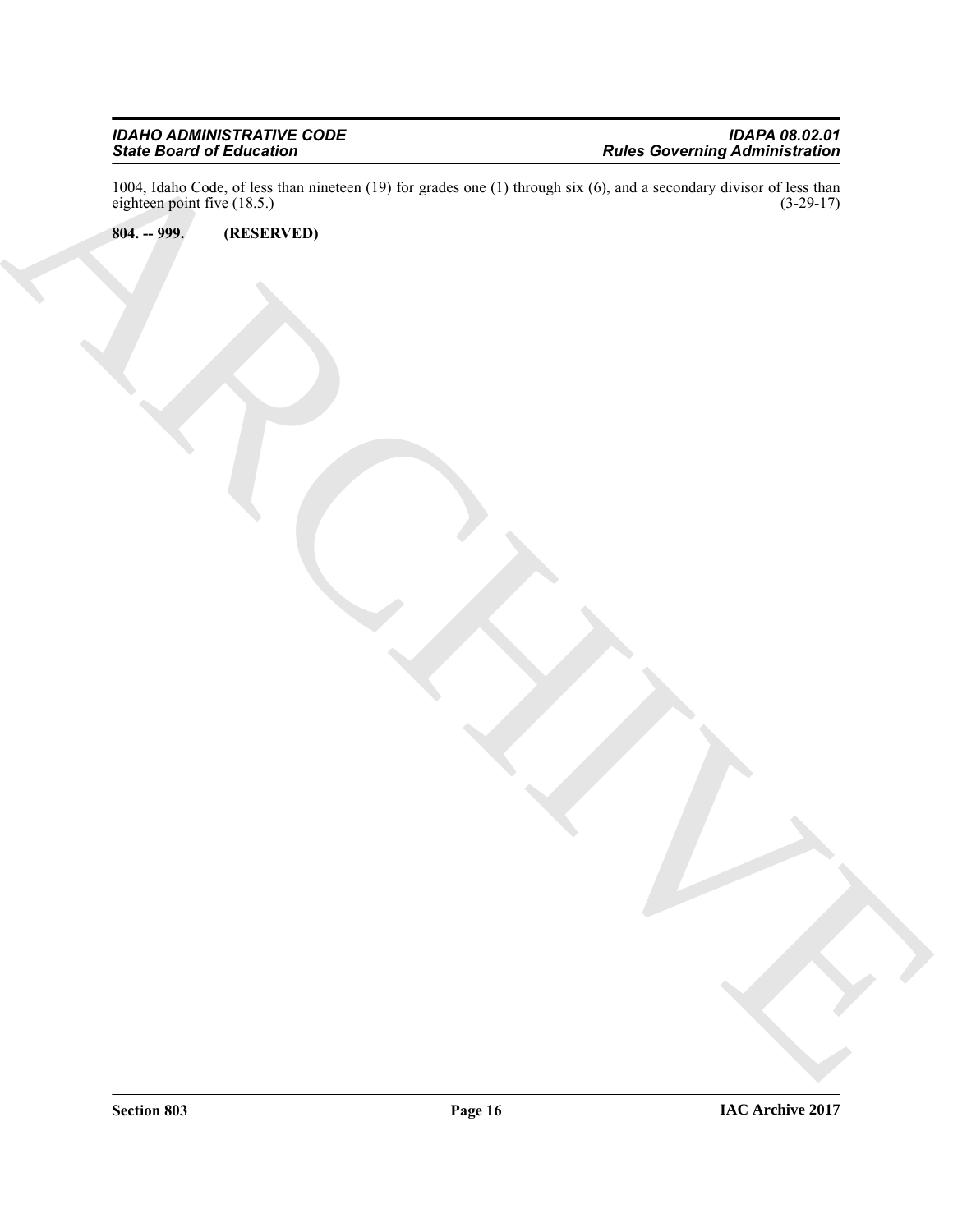Since Delay of Relations<br>
The Compact of Lagrician (1976) is proved at the two control of the control of the Compact of Compact of Compact of Compact of Compact of Compact of Compact of Compact of Compact of Compact of Com 1004, Idaho Code, of less than nineteen (19) for grades one (1) through six (6), and a secondary divisor of less than eighteen point five (18.5.) (3-29-17) eighteen point five  $(18.5.)$ 

<span id="page-15-0"></span>**804. -- 999. (RESERVED)**